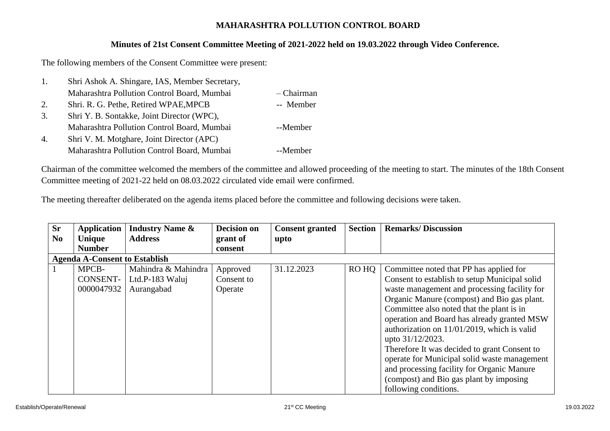## **MAHARASHTRA POLLUTION CONTROL BOARD**

## **Minutes of 21st Consent Committee Meeting of 2021-2022 held on 19.03.2022 through Video Conference.**

The following members of the Consent Committee were present:

| 1. | Shri Ashok A. Shingare, IAS, Member Secretary, |            |
|----|------------------------------------------------|------------|
|    | Maharashtra Pollution Control Board, Mumbai    | - Chairman |
| 2. | Shri. R. G. Pethe, Retired WPAE, MPCB          | -- Member  |
| 3. | Shri Y. B. Sontakke, Joint Director (WPC),     |            |
|    | Maharashtra Pollution Control Board, Mumbai    | --Member   |
| 4. | Shri V. M. Motghare, Joint Director (APC)      |            |
|    | Maharashtra Pollution Control Board, Mumbai    | --Member   |

Chairman of the committee welcomed the members of the committee and allowed proceeding of the meeting to start. The minutes of the 18th Consent Committee meeting of 2021-22 held on 08.03.2022 circulated vide email were confirmed.

The meeting thereafter deliberated on the agenda items placed before the committee and following decisions were taken.

| <b>Sr</b>      | <b>Application</b>                   | <b>Industry Name &amp;</b> | <b>Decision on</b> | <b>Consent granted</b> | <b>Section</b> | <b>Remarks/Discussion</b>                      |  |  |  |  |
|----------------|--------------------------------------|----------------------------|--------------------|------------------------|----------------|------------------------------------------------|--|--|--|--|
| N <sub>0</sub> | Unique                               | <b>Address</b>             | grant of           | upto                   |                |                                                |  |  |  |  |
|                | <b>Number</b>                        |                            | consent            |                        |                |                                                |  |  |  |  |
|                | <b>Agenda A-Consent to Establish</b> |                            |                    |                        |                |                                                |  |  |  |  |
|                | MPCB-                                | Mahindra & Mahindra        | Approved           | 31.12.2023             | RO HQ          | Committee noted that PP has applied for        |  |  |  |  |
|                | CONSENT-                             | Ltd.P-183 Waluj            | Consent to         |                        |                | Consent to establish to setup Municipal solid  |  |  |  |  |
|                | 0000047932                           | Aurangabad                 | Operate            |                        |                | waste management and processing facility for   |  |  |  |  |
|                |                                      |                            |                    |                        |                | Organic Manure (compost) and Bio gas plant.    |  |  |  |  |
|                |                                      |                            |                    |                        |                | Committee also noted that the plant is in      |  |  |  |  |
|                |                                      |                            |                    |                        |                | operation and Board has already granted MSW    |  |  |  |  |
|                |                                      |                            |                    |                        |                | authorization on $11/01/2019$ , which is valid |  |  |  |  |
|                |                                      |                            |                    |                        |                | upto 31/12/2023.                               |  |  |  |  |
|                |                                      |                            |                    |                        |                | Therefore It was decided to grant Consent to   |  |  |  |  |
|                |                                      |                            |                    |                        |                | operate for Municipal solid waste management   |  |  |  |  |
|                |                                      |                            |                    |                        |                | and processing facility for Organic Manure     |  |  |  |  |
|                |                                      |                            |                    |                        |                | (compost) and Bio gas plant by imposing        |  |  |  |  |
|                |                                      |                            |                    |                        |                | following conditions.                          |  |  |  |  |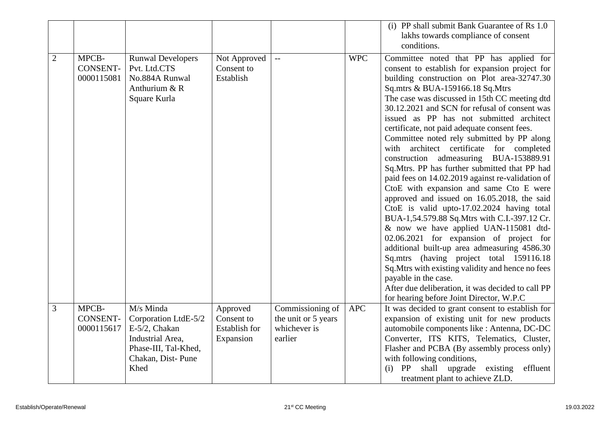|                |                                        |                                                                                                                             |                                                             |                                                                    |            | (i) PP shall submit Bank Guarantee of Rs 1.0                                                                                                                                                                                                                                                                                                                                                                                                                                                                                                                                                           |
|----------------|----------------------------------------|-----------------------------------------------------------------------------------------------------------------------------|-------------------------------------------------------------|--------------------------------------------------------------------|------------|--------------------------------------------------------------------------------------------------------------------------------------------------------------------------------------------------------------------------------------------------------------------------------------------------------------------------------------------------------------------------------------------------------------------------------------------------------------------------------------------------------------------------------------------------------------------------------------------------------|
|                |                                        |                                                                                                                             |                                                             |                                                                    |            | lakhs towards compliance of consent                                                                                                                                                                                                                                                                                                                                                                                                                                                                                                                                                                    |
|                |                                        |                                                                                                                             |                                                             |                                                                    |            |                                                                                                                                                                                                                                                                                                                                                                                                                                                                                                                                                                                                        |
| $\overline{2}$ | MPCB-<br><b>CONSENT-</b><br>0000115081 | <b>Runwal Developers</b><br>Pvt. Ltd.CTS<br>No.884A Runwal<br>Anthurium & R<br>Square Kurla                                 | Not Approved<br>Consent to<br>Establish                     | $-$                                                                | <b>WPC</b> | conditions.<br>Committee noted that PP has applied for<br>consent to establish for expansion project for<br>building construction on Plot area-32747.30<br>Sq.mtrs & BUA-159166.18 Sq.Mtrs<br>The case was discussed in 15th CC meeting dtd<br>30.12.2021 and SCN for refusal of consent was<br>issued as PP has not submitted architect<br>certificate, not paid adequate consent fees.<br>Committee noted rely submitted by PP along<br>architect certificate for completed<br>with<br>construction admeasuring BUA-153889.91<br>Sq.Mtrs. PP has further submitted that PP had                       |
|                |                                        |                                                                                                                             |                                                             |                                                                    |            | paid fees on 14.02.2019 against re-validation of<br>CtoE with expansion and same Cto E were<br>approved and issued on 16.05.2018, the said<br>CtoE is valid upto-17.02.2024 having total<br>BUA-1,54.579.88 Sq. Mtrs with C.I.-397.12 Cr.<br>& now we have applied UAN-115081 dtd-<br>02.06.2021 for expansion of project for<br>additional built-up area admeasuring 4586.30<br>Sq.mtrs (having project total 159116.18<br>Sq. Mtrs with existing validity and hence no fees<br>payable in the case.<br>After due deliberation, it was decided to call PP<br>for hearing before Joint Director, W.P.C |
| 3              | MPCB-<br><b>CONSENT-</b><br>0000115617 | M/s Minda<br>Corporation LtdE-5/2<br>E-5/2, Chakan<br>Industrial Area,<br>Phase-III, Tal-Khed,<br>Chakan, Dist-Pune<br>Khed | Approved<br>Consent to<br><b>Establish for</b><br>Expansion | Commissioning of<br>the unit or 5 years<br>whichever is<br>earlier | <b>APC</b> | It was decided to grant consent to establish for<br>expansion of existing unit for new products<br>automobile components like : Antenna, DC-DC<br>Converter, ITS KITS, Telematics, Cluster,<br>Flasher and PCBA (By assembly process only)<br>with following conditions,<br>shall<br>upgrade existing<br>(i)<br>PP<br>effluent<br>treatment plant to achieve ZLD.                                                                                                                                                                                                                                      |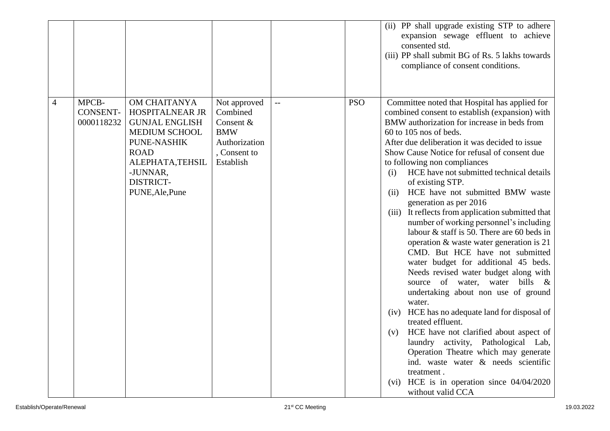|   |       |                               |                                                                                                                                                                                       |                                                                                                   |              |            | (ii) PP shall upgrade existing STP to adhere<br>expansion sewage effluent to achieve<br>consented std.<br>(iii) PP shall submit BG of Rs. 5 lakhs towards<br>compliance of consent conditions.                                                                                                                                                                                                                                                                                                                                                                                                                                                                                                                                                                                                                                                                                                                                                                                                                                                                                                                                                                                               |
|---|-------|-------------------------------|---------------------------------------------------------------------------------------------------------------------------------------------------------------------------------------|---------------------------------------------------------------------------------------------------|--------------|------------|----------------------------------------------------------------------------------------------------------------------------------------------------------------------------------------------------------------------------------------------------------------------------------------------------------------------------------------------------------------------------------------------------------------------------------------------------------------------------------------------------------------------------------------------------------------------------------------------------------------------------------------------------------------------------------------------------------------------------------------------------------------------------------------------------------------------------------------------------------------------------------------------------------------------------------------------------------------------------------------------------------------------------------------------------------------------------------------------------------------------------------------------------------------------------------------------|
| 4 | MPCB- | <b>CONSENT-</b><br>0000118232 | OM CHAITANYA<br>HOSPITALNEAR JR<br><b>GUNJAL ENGLISH</b><br><b>MEDIUM SCHOOL</b><br>PUNE-NASHIK<br><b>ROAD</b><br>ALEPHATA, TEHSIL<br>-JUNNAR,<br><b>DISTRICT-</b><br>PUNE, Ale, Pune | Not approved<br>Combined<br>Consent &<br><b>BMW</b><br>Authorization<br>, Consent to<br>Establish | $\mathbf{L}$ | <b>PSO</b> | Committee noted that Hospital has applied for<br>combined consent to establish (expansion) with<br>BMW authorization for increase in beds from<br>$60$ to 105 nos of beds.<br>After due deliberation it was decided to issue<br>Show Cause Notice for refusal of consent due<br>to following non compliances<br>HCE have not submitted technical details<br>(i)<br>of existing STP.<br>HCE have not submitted BMW waste<br>(ii)<br>generation as per 2016<br>(iii) It reflects from application submitted that<br>number of working personnel's including<br>labour $\&$ staff is 50. There are 60 beds in<br>operation & waste water generation is 21<br>CMD. But HCE have not submitted<br>water budget for additional 45 beds.<br>Needs revised water budget along with<br>source of water, water bills &<br>undertaking about non use of ground<br>water.<br>(iv) HCE has no adequate land for disposal of<br>treated effluent.<br>HCE have not clarified about aspect of<br>(v)<br>laundry activity, Pathological Lab,<br>Operation Theatre which may generate<br>ind. waste water & needs scientific<br>treatment.<br>(vi) HCE is in operation since $04/04/2020$<br>without valid CCA |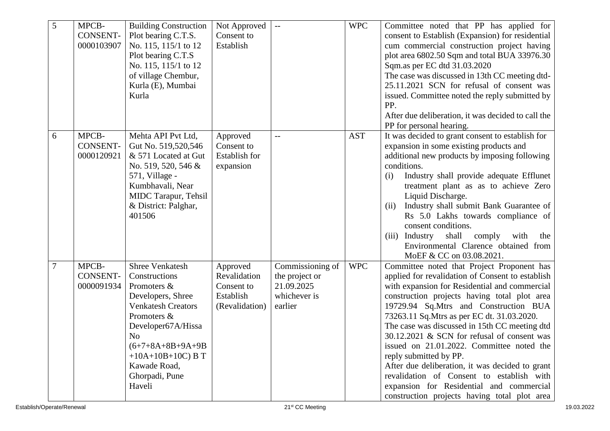| 5              | MPCB-<br><b>CONSENT-</b><br>0000103907 | <b>Building Construction</b><br>Plot bearing C.T.S.<br>No. 115, 115/1 to 12<br>Plot bearing C.T.S<br>No. 115, 115/1 to 12<br>of village Chembur,<br>Kurla (E), Mumbai<br>Kurla                                                                          | Not Approved<br>Consent to<br>Establish                               |                                                                             | <b>WPC</b> | Committee noted that PP has applied for<br>consent to Establish (Expansion) for residential<br>cum commercial construction project having<br>plot area 6802.50 Sqm and total BUA 33976.30<br>Sqm.as per EC dtd 31.03.2020<br>The case was discussed in 13th CC meeting dtd-<br>25.11.2021 SCN for refusal of consent was<br>issued. Committee noted the reply submitted by                                                                                                                                                                                                                                                                                 |
|----------------|----------------------------------------|---------------------------------------------------------------------------------------------------------------------------------------------------------------------------------------------------------------------------------------------------------|-----------------------------------------------------------------------|-----------------------------------------------------------------------------|------------|------------------------------------------------------------------------------------------------------------------------------------------------------------------------------------------------------------------------------------------------------------------------------------------------------------------------------------------------------------------------------------------------------------------------------------------------------------------------------------------------------------------------------------------------------------------------------------------------------------------------------------------------------------|
|                |                                        |                                                                                                                                                                                                                                                         |                                                                       |                                                                             |            | PP.<br>After due deliberation, it was decided to call the<br>PP for personal hearing.                                                                                                                                                                                                                                                                                                                                                                                                                                                                                                                                                                      |
| 6              | MPCB-<br><b>CONSENT-</b><br>0000120921 | Mehta API Pvt Ltd,<br>Gut No. 519,520,546<br>& 571 Located at Gut<br>No. 519, 520, 546 &<br>571, Village -<br>Kumbhavali, Near<br>MIDC Tarapur, Tehsil<br>& District: Palghar,<br>401506                                                                | Approved<br>Consent to<br>Establish for<br>expansion                  | $-$                                                                         | <b>AST</b> | It was decided to grant consent to establish for<br>expansion in some existing products and<br>additional new products by imposing following<br>conditions.<br>Industry shall provide adequate Efflunet<br>(i)<br>treatment plant as as to achieve Zero<br>Liquid Discharge.<br>Industry shall submit Bank Guarantee of<br>(ii)<br>Rs 5.0 Lakhs towards compliance of<br>consent conditions.<br>shall<br>comply<br>(iii)<br>Industry<br>with<br>the<br>Environmental Clarence obtained from<br>MoEF & CC on 03.08.2021.                                                                                                                                    |
| $\overline{7}$ | MPCB-<br><b>CONSENT-</b><br>0000091934 | <b>Shree Venkatesh</b><br>Constructions<br>Promoters &<br>Developers, Shree<br><b>Venkatesh Creators</b><br>Promoters &<br>Developer67A/Hissa<br>N <sub>o</sub><br>$(6+7+8A+8B+9A+9B$<br>$+10A+10B+10C$ B T<br>Kawade Road,<br>Ghorpadi, Pune<br>Haveli | Approved<br>Revalidation<br>Consent to<br>Establish<br>(Revalidation) | Commissioning of<br>the project or<br>21.09.2025<br>whichever is<br>earlier | <b>WPC</b> | Committee noted that Project Proponent has<br>applied for revalidation of Consent to establish<br>with expansion for Residential and commercial<br>construction projects having total plot area<br>19729.94 Sq.Mtrs and Construction BUA<br>73263.11 Sq. Mtrs as per EC dt. 31.03.2020.<br>The case was discussed in 15th CC meeting dtd<br>30.12.2021 & SCN for refusal of consent was<br>issued on 21.01.2022. Committee noted the<br>reply submitted by PP.<br>After due deliberation, it was decided to grant<br>revalidation of Consent to establish with<br>expansion for Residential and commercial<br>construction projects having total plot area |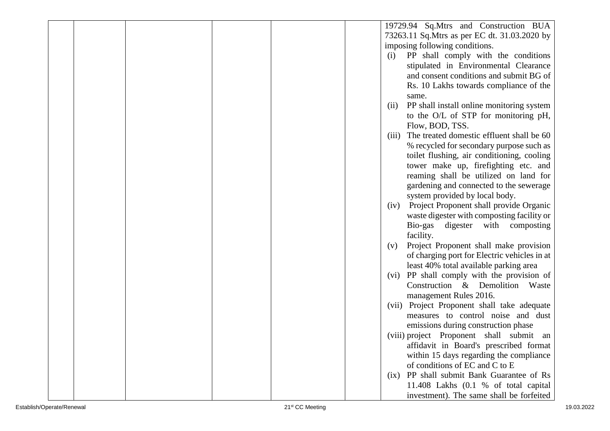|  |  | 19729.94 Sq.Mtrs and Construction BUA              |
|--|--|----------------------------------------------------|
|  |  | 73263.11 Sq. Mtrs as per EC dt. 31.03.2020 by      |
|  |  | imposing following conditions.                     |
|  |  | PP shall comply with the conditions<br>(i)         |
|  |  | stipulated in Environmental Clearance              |
|  |  | and consent conditions and submit BG of            |
|  |  | Rs. 10 Lakhs towards compliance of the             |
|  |  | same.                                              |
|  |  | PP shall install online monitoring system<br>(ii)  |
|  |  | to the O/L of STP for monitoring pH,               |
|  |  | Flow, BOD, TSS.                                    |
|  |  | The treated domestic effluent shall be 60<br>(iii) |
|  |  | % recycled for secondary purpose such as           |
|  |  | toilet flushing, air conditioning, cooling         |
|  |  | tower make up, firefighting etc. and               |
|  |  | reaming shall be utilized on land for              |
|  |  | gardening and connected to the sewerage            |
|  |  | system provided by local body.                     |
|  |  | Project Proponent shall provide Organic<br>(iv)    |
|  |  | waste digester with composting facility or         |
|  |  | Bio-gas digester with<br>composting                |
|  |  | facility.                                          |
|  |  | Project Proponent shall make provision<br>(v)      |
|  |  | of charging port for Electric vehicles in at       |
|  |  | least 40% total available parking area             |
|  |  | (vi) PP shall comply with the provision of         |
|  |  | Construction & Demolition<br>Waste                 |
|  |  | management Rules 2016.                             |
|  |  | (vii) Project Proponent shall take adequate        |
|  |  | measures to control noise and dust                 |
|  |  | emissions during construction phase                |
|  |  | (viii) project Proponent shall submit an           |
|  |  | affidavit in Board's prescribed format             |
|  |  | within 15 days regarding the compliance            |
|  |  | of conditions of EC and C to E                     |
|  |  | (ix) PP shall submit Bank Guarantee of Rs          |
|  |  | 11.408 Lakhs (0.1 % of total capital               |
|  |  | investment). The same shall be forfeited           |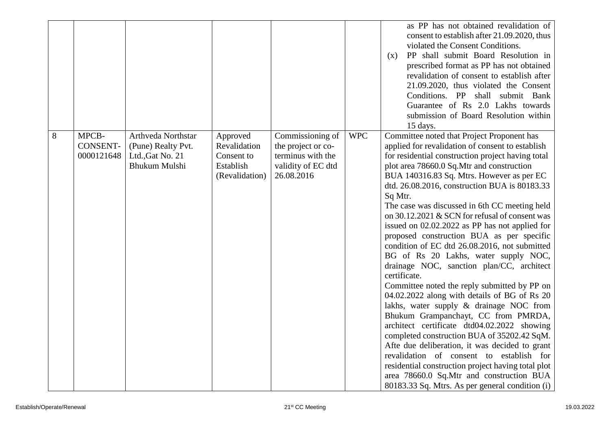|   |                                        |                                                                                      |                                                                       |                                                                                                 |            | as PP has not obtained revalidation of<br>consent to establish after 21.09.2020, thus<br>violated the Consent Conditions.<br>PP shall submit Board Resolution in<br>(x)<br>prescribed format as PP has not obtained<br>revalidation of consent to establish after<br>21.09.2020, thus violated the Consent<br>Conditions. PP shall submit Bank<br>Guarantee of Rs 2.0 Lakhs towards<br>submission of Board Resolution within<br>15 days.                                                                                                                                                                                                                                                                                                                                                                                                                                                                                                                                                                                                                                                                                                                                                             |
|---|----------------------------------------|--------------------------------------------------------------------------------------|-----------------------------------------------------------------------|-------------------------------------------------------------------------------------------------|------------|------------------------------------------------------------------------------------------------------------------------------------------------------------------------------------------------------------------------------------------------------------------------------------------------------------------------------------------------------------------------------------------------------------------------------------------------------------------------------------------------------------------------------------------------------------------------------------------------------------------------------------------------------------------------------------------------------------------------------------------------------------------------------------------------------------------------------------------------------------------------------------------------------------------------------------------------------------------------------------------------------------------------------------------------------------------------------------------------------------------------------------------------------------------------------------------------------|
| 8 | MPCB-<br><b>CONSENT-</b><br>0000121648 | Arthveda Northstar<br>(Pune) Realty Pvt.<br>Ltd., Gat No. 21<br><b>Bhukum Mulshi</b> | Approved<br>Revalidation<br>Consent to<br>Establish<br>(Revalidation) | Commissioning of<br>the project or co-<br>terminus with the<br>validity of EC dtd<br>26.08.2016 | <b>WPC</b> | Committee noted that Project Proponent has<br>applied for revalidation of consent to establish<br>for residential construction project having total<br>plot area 78660.0 Sq.Mtr and construction<br>BUA 140316.83 Sq. Mtrs. However as per EC<br>dtd. 26.08.2016, construction BUA is 80183.33<br>Sq Mtr.<br>The case was discussed in 6th CC meeting held<br>on 30.12.2021 & SCN for refusal of consent was<br>issued on 02.02.2022 as PP has not applied for<br>proposed construction BUA as per specific<br>condition of EC dtd 26.08.2016, not submitted<br>BG of Rs 20 Lakhs, water supply NOC,<br>drainage NOC, sanction plan/CC, architect<br>certificate.<br>Committee noted the reply submitted by PP on<br>04.02.2022 along with details of BG of Rs 20<br>lakhs, water supply & drainage NOC from<br>Bhukum Grampanchayt, CC from PMRDA,<br>architect certificate dtd04.02.2022 showing<br>completed construction BUA of 35202.42 SqM.<br>Afte due deliberation, it was decided to grant<br>revalidation of consent to establish for<br>residential construction project having total plot<br>area 78660.0 Sq.Mtr and construction BUA<br>80183.33 Sq. Mtrs. As per general condition (i) |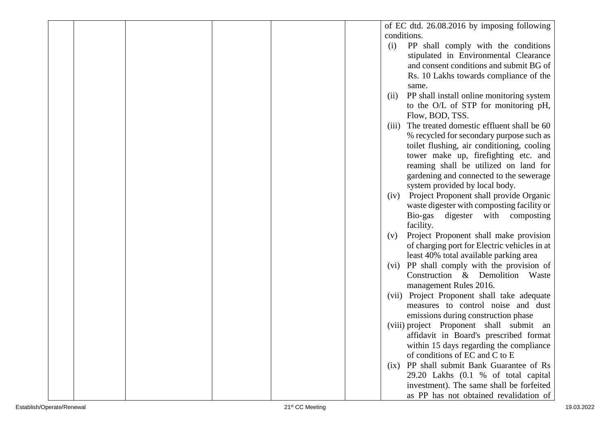|  |  |       | of EC dtd. 26.08.2016 by imposing following  |
|--|--|-------|----------------------------------------------|
|  |  |       | conditions.                                  |
|  |  | (i)   | PP shall comply with the conditions          |
|  |  |       | stipulated in Environmental Clearance        |
|  |  |       | and consent conditions and submit BG of      |
|  |  |       | Rs. 10 Lakhs towards compliance of the       |
|  |  |       | same.                                        |
|  |  | (ii)  | PP shall install online monitoring system    |
|  |  |       | to the O/L of STP for monitoring pH,         |
|  |  |       | Flow, BOD, TSS.                              |
|  |  | (iii) | The treated domestic effluent shall be 60    |
|  |  |       | % recycled for secondary purpose such as     |
|  |  |       | toilet flushing, air conditioning, cooling   |
|  |  |       | tower make up, firefighting etc. and         |
|  |  |       | reaming shall be utilized on land for        |
|  |  |       | gardening and connected to the sewerage      |
|  |  |       | system provided by local body.               |
|  |  | (iv)  | Project Proponent shall provide Organic      |
|  |  |       | waste digester with composting facility or   |
|  |  |       | Bio-gas digester with composting             |
|  |  |       | facility.                                    |
|  |  | (v)   | Project Proponent shall make provision       |
|  |  |       | of charging port for Electric vehicles in at |
|  |  |       | least 40% total available parking area       |
|  |  | (vi)  | PP shall comply with the provision of        |
|  |  |       | Construction & Demolition Waste              |
|  |  |       | management Rules 2016.                       |
|  |  |       | (vii) Project Proponent shall take adequate  |
|  |  |       | measures to control noise and dust           |
|  |  |       | emissions during construction phase          |
|  |  |       | (viii) project Proponent shall submit an     |
|  |  |       | affidavit in Board's prescribed format       |
|  |  |       | within 15 days regarding the compliance      |
|  |  |       | of conditions of EC and C to E               |
|  |  | (ix)  | PP shall submit Bank Guarantee of Rs         |
|  |  |       | 29.20 Lakhs (0.1 % of total capital          |
|  |  |       | investment). The same shall be forfeited     |
|  |  |       | as PP has not obtained revalidation of       |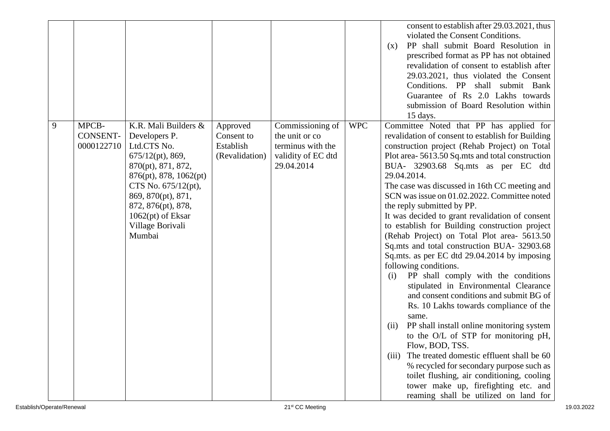|   |                                        |                                                                                                                                                                                                                                                        |                                                       |                                                                                             |            | consent to establish after 29.03.2021, thus<br>violated the Consent Conditions.<br>PP shall submit Board Resolution in<br>(x)<br>prescribed format as PP has not obtained<br>revalidation of consent to establish after<br>29.03.2021, thus violated the Consent<br>Conditions. PP shall submit Bank<br>Guarantee of Rs 2.0 Lakhs towards<br>submission of Board Resolution within<br>15 days.                                                                                                                                                                                                                                                                                                                                                                                                                                                                                                                                                                                                                                                                                                                                                                                                         |
|---|----------------------------------------|--------------------------------------------------------------------------------------------------------------------------------------------------------------------------------------------------------------------------------------------------------|-------------------------------------------------------|---------------------------------------------------------------------------------------------|------------|--------------------------------------------------------------------------------------------------------------------------------------------------------------------------------------------------------------------------------------------------------------------------------------------------------------------------------------------------------------------------------------------------------------------------------------------------------------------------------------------------------------------------------------------------------------------------------------------------------------------------------------------------------------------------------------------------------------------------------------------------------------------------------------------------------------------------------------------------------------------------------------------------------------------------------------------------------------------------------------------------------------------------------------------------------------------------------------------------------------------------------------------------------------------------------------------------------|
| 9 | MPCB-<br><b>CONSENT-</b><br>0000122710 | K.R. Mali Builders &<br>Developers P.<br>Ltd.CTS No.<br>$675/12(pt)$ , 869,<br>870(pt), 871, 872,<br>876(pt), 878, 1062(pt)<br>CTS No. $675/12(pt)$ ,<br>869, 870(pt), 871,<br>872, 876(pt), 878,<br>$1062(pt)$ of Eksar<br>Village Borivali<br>Mumbai | Approved<br>Consent to<br>Establish<br>(Revalidation) | Commissioning of<br>the unit or co<br>terminus with the<br>validity of EC dtd<br>29.04.2014 | <b>WPC</b> | Committee Noted that PP has applied for<br>revalidation of consent to establish for Building<br>construction project (Rehab Project) on Total<br>Plot area-5613.50 Sq.mts and total construction<br>BUA- 32903.68 Sq.mts as per EC dtd<br>29.04.2014.<br>The case was discussed in 16th CC meeting and<br>SCN was issue on 01.02.2022. Committee noted<br>the reply submitted by PP.<br>It was decided to grant revalidation of consent<br>to establish for Building construction project<br>(Rehab Project) on Total Plot area- 5613.50<br>Sq.mts and total construction BUA- 32903.68<br>Sq.mts. as per EC dtd 29.04.2014 by imposing<br>following conditions.<br>PP shall comply with the conditions<br>(i)<br>stipulated in Environmental Clearance<br>and consent conditions and submit BG of<br>Rs. 10 Lakhs towards compliance of the<br>same.<br>PP shall install online monitoring system<br>(11)<br>to the O/L of STP for monitoring pH,<br>Flow, BOD, TSS.<br>The treated domestic effluent shall be 60<br>(iii)<br>% recycled for secondary purpose such as<br>toilet flushing, air conditioning, cooling<br>tower make up, firefighting etc. and<br>reaming shall be utilized on land for |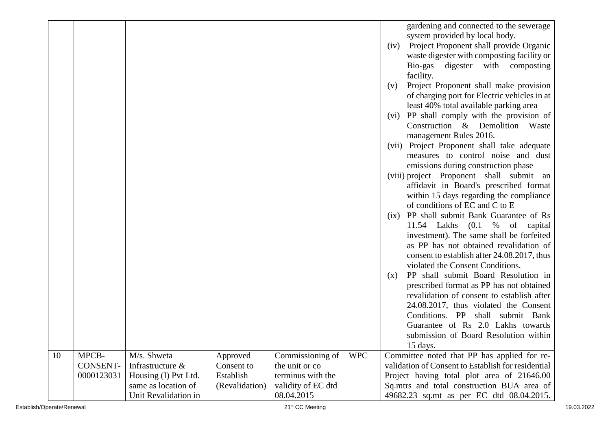|    |                                 |                                                         |                                     |                                                         |            | gardening and connected to the sewerage<br>system provided by local body.<br>Project Proponent shall provide Organic<br>(iv)<br>waste digester with composting facility or<br>Bio-gas digester with composting<br>facility.<br>Project Proponent shall make provision<br>(v)<br>of charging port for Electric vehicles in at<br>least 40% total available parking area<br>(vi) PP shall comply with the provision of<br>Construction & Demolition Waste<br>management Rules 2016.<br>(vii) Project Proponent shall take adequate<br>measures to control noise and dust<br>emissions during construction phase<br>(viii) project Proponent shall submit an<br>affidavit in Board's prescribed format<br>within 15 days regarding the compliance<br>of conditions of EC and C to E<br>PP shall submit Bank Guarantee of Rs<br>(ix)<br>11.54 Lakhs (0.1 % of<br>capital<br>investment). The same shall be forfeited<br>as PP has not obtained revalidation of<br>consent to establish after 24.08.2017, thus<br>violated the Consent Conditions.<br>PP shall submit Board Resolution in<br>(x)<br>prescribed format as PP has not obtained<br>revalidation of consent to establish after<br>24.08.2017, thus violated the Consent<br>Conditions. PP<br>shall<br>submit Bank<br>Guarantee of Rs 2.0 Lakhs towards<br>submission of Board Resolution within<br>15 days. |
|----|---------------------------------|---------------------------------------------------------|-------------------------------------|---------------------------------------------------------|------------|--------------------------------------------------------------------------------------------------------------------------------------------------------------------------------------------------------------------------------------------------------------------------------------------------------------------------------------------------------------------------------------------------------------------------------------------------------------------------------------------------------------------------------------------------------------------------------------------------------------------------------------------------------------------------------------------------------------------------------------------------------------------------------------------------------------------------------------------------------------------------------------------------------------------------------------------------------------------------------------------------------------------------------------------------------------------------------------------------------------------------------------------------------------------------------------------------------------------------------------------------------------------------------------------------------------------------------------------------------------------|
| 10 | MPCB-<br>CONSENT-<br>0000123031 | M/s. Shweta<br>Infrastructure &<br>Housing (I) Pvt Ltd. | Approved<br>Consent to<br>Establish | Commissioning of<br>the unit or co<br>terminus with the | <b>WPC</b> | Committee noted that PP has applied for re-<br>validation of Consent to Establish for residential<br>Project having total plot area of 21646.00                                                                                                                                                                                                                                                                                                                                                                                                                                                                                                                                                                                                                                                                                                                                                                                                                                                                                                                                                                                                                                                                                                                                                                                                                    |
|    |                                 | same as location of                                     | (Revalidation)                      | validity of EC dtd                                      |            | Sq.mtrs and total construction BUA area of                                                                                                                                                                                                                                                                                                                                                                                                                                                                                                                                                                                                                                                                                                                                                                                                                                                                                                                                                                                                                                                                                                                                                                                                                                                                                                                         |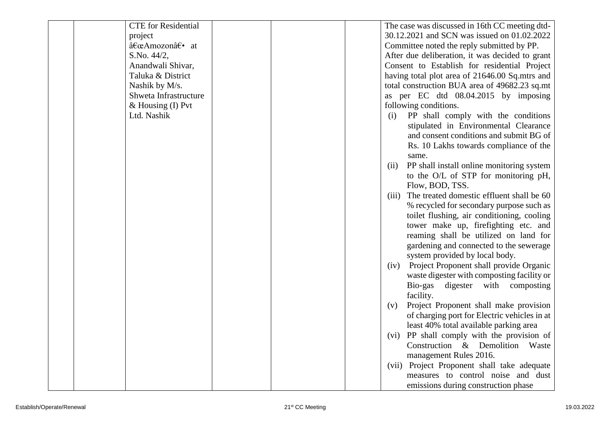| <b>CTE</b> for Residential |  | The case was discussed in 16th CC meeting dtd-     |
|----------------------------|--|----------------------------------------------------|
| project                    |  | 30.12.2021 and SCN was issued on 01.02.2022        |
| "Amozon†• at               |  | Committee noted the reply submitted by PP.         |
| S.No. 44/2,                |  | After due deliberation, it was decided to grant    |
| Anandwali Shivar,          |  | Consent to Establish for residential Project       |
| Taluka & District          |  | having total plot area of 21646.00 Sq.mtrs and     |
| Nashik by M/s.             |  | total construction BUA area of 49682.23 sq.mt      |
| Shweta Infrastructure      |  | as per EC dtd 08.04.2015 by imposing               |
| $&$ Housing (I) Pvt        |  | following conditions.                              |
| Ltd. Nashik                |  | PP shall comply with the conditions<br>(i)         |
|                            |  | stipulated in Environmental Clearance              |
|                            |  | and consent conditions and submit BG of            |
|                            |  | Rs. 10 Lakhs towards compliance of the             |
|                            |  | same.                                              |
|                            |  | PP shall install online monitoring system<br>(ii)  |
|                            |  | to the O/L of STP for monitoring pH,               |
|                            |  | Flow, BOD, TSS.                                    |
|                            |  | The treated domestic effluent shall be 60<br>(iii) |
|                            |  | % recycled for secondary purpose such as           |
|                            |  | toilet flushing, air conditioning, cooling         |
|                            |  | tower make up, firefighting etc. and               |
|                            |  | reaming shall be utilized on land for              |
|                            |  | gardening and connected to the sewerage            |
|                            |  | system provided by local body.                     |
|                            |  | Project Proponent shall provide Organic<br>(iv)    |
|                            |  | waste digester with composting facility or         |
|                            |  | Bio-gas digester with composting                   |
|                            |  | facility.                                          |
|                            |  | Project Proponent shall make provision<br>(v)      |
|                            |  | of charging port for Electric vehicles in at       |
|                            |  | least 40% total available parking area             |
|                            |  | (vi) PP shall comply with the provision of         |
|                            |  | Construction & Demolition<br>Waste                 |
|                            |  | management Rules 2016.                             |
|                            |  | (vii) Project Proponent shall take adequate        |
|                            |  | measures to control noise and dust                 |
|                            |  | emissions during construction phase                |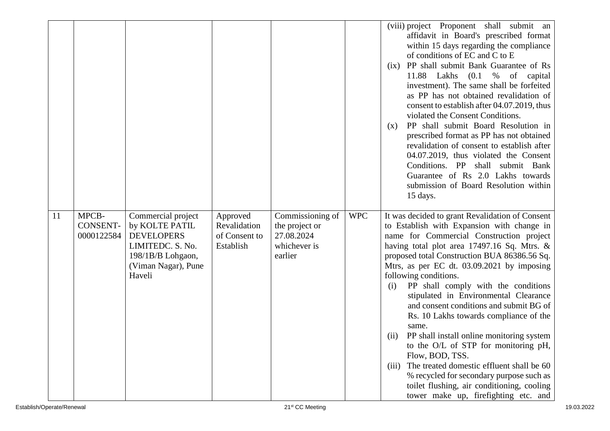|    |                                        |                                                                                                                                     |                                                        |                                                                             |            | (viii) project Proponent shall submit an<br>affidavit in Board's prescribed format<br>within 15 days regarding the compliance<br>of conditions of EC and C to E<br>PP shall submit Bank Guarantee of Rs<br>(ix)<br>11.88 Lakhs (0.1 % of<br>capital<br>investment). The same shall be forfeited<br>as PP has not obtained revalidation of<br>consent to establish after 04.07.2019, thus<br>violated the Consent Conditions.<br>PP shall submit Board Resolution in<br>(x)<br>prescribed format as PP has not obtained<br>revalidation of consent to establish after<br>04.07.2019, thus violated the Consent<br>Conditions. PP shall submit Bank<br>Guarantee of Rs 2.0 Lakhs towards<br>submission of Board Resolution within<br>15 days.                                                                     |
|----|----------------------------------------|-------------------------------------------------------------------------------------------------------------------------------------|--------------------------------------------------------|-----------------------------------------------------------------------------|------------|-----------------------------------------------------------------------------------------------------------------------------------------------------------------------------------------------------------------------------------------------------------------------------------------------------------------------------------------------------------------------------------------------------------------------------------------------------------------------------------------------------------------------------------------------------------------------------------------------------------------------------------------------------------------------------------------------------------------------------------------------------------------------------------------------------------------|
| 11 | MPCB-<br><b>CONSENT-</b><br>0000122584 | Commercial project<br>by KOLTE PATIL<br><b>DEVELOPERS</b><br>LIMITEDC. S. No.<br>198/1B/B Lohgaon,<br>(Viman Nagar), Pune<br>Haveli | Approved<br>Revalidation<br>of Consent to<br>Establish | Commissioning of<br>the project or<br>27.08.2024<br>whichever is<br>earlier | <b>WPC</b> | It was decided to grant Revalidation of Consent<br>to Establish with Expansion with change in<br>name for Commercial Construction project<br>having total plot area 17497.16 Sq. Mtrs. $\&$<br>proposed total Construction BUA 86386.56 Sq.<br>Mtrs, as per EC dt. 03.09.2021 by imposing<br>following conditions.<br>PP shall comply with the conditions<br>(i)<br>stipulated in Environmental Clearance<br>and consent conditions and submit BG of<br>Rs. 10 Lakhs towards compliance of the<br>same.<br>PP shall install online monitoring system<br>(ii)<br>to the O/L of STP for monitoring pH,<br>Flow, BOD, TSS.<br>The treated domestic effluent shall be 60<br>(iii)<br>% recycled for secondary purpose such as<br>toilet flushing, air conditioning, cooling<br>tower make up, firefighting etc. and |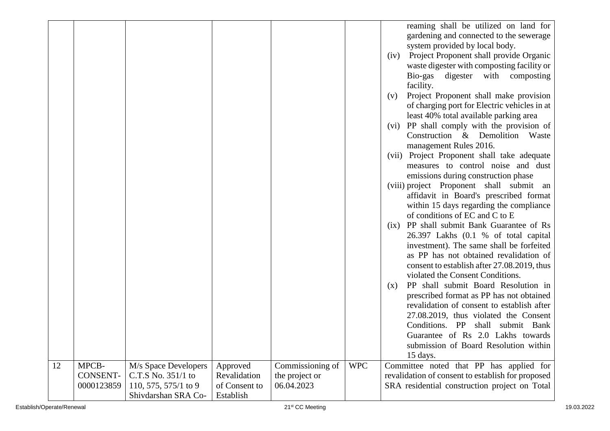|    |                 |                                             |                            |                  |            | reaming shall be utilized on land for<br>gardening and connected to the sewerage<br>system provided by local body.<br>Project Proponent shall provide Organic<br>(iv)<br>waste digester with composting facility or<br>Bio-gas digester with composting<br>facility.<br>Project Proponent shall make provision<br>(v)<br>of charging port for Electric vehicles in at<br>least 40% total available parking area<br>(vi) PP shall comply with the provision of<br>Construction & Demolition<br>Waste<br>management Rules 2016.<br>(vii) Project Proponent shall take adequate<br>measures to control noise and dust<br>emissions during construction phase<br>(viii) project Proponent shall submit an<br>affidavit in Board's prescribed format<br>within 15 days regarding the compliance<br>of conditions of EC and C to E<br>(ix) PP shall submit Bank Guarantee of Rs<br>26.397 Lakhs (0.1 % of total capital<br>investment). The same shall be forfeited<br>as PP has not obtained revalidation of<br>consent to establish after 27.08.2019, thus<br>violated the Consent Conditions.<br>PP shall submit Board Resolution in<br>(x)<br>prescribed format as PP has not obtained<br>revalidation of consent to establish after<br>27.08.2019, thus violated the Consent<br>Conditions. PP<br>shall submit Bank<br>Guarantee of Rs 2.0 Lakhs towards |
|----|-----------------|---------------------------------------------|----------------------------|------------------|------------|---------------------------------------------------------------------------------------------------------------------------------------------------------------------------------------------------------------------------------------------------------------------------------------------------------------------------------------------------------------------------------------------------------------------------------------------------------------------------------------------------------------------------------------------------------------------------------------------------------------------------------------------------------------------------------------------------------------------------------------------------------------------------------------------------------------------------------------------------------------------------------------------------------------------------------------------------------------------------------------------------------------------------------------------------------------------------------------------------------------------------------------------------------------------------------------------------------------------------------------------------------------------------------------------------------------------------------------------------------|
|    |                 |                                             |                            |                  |            |                                                                                                                                                                                                                                                                                                                                                                                                                                                                                                                                                                                                                                                                                                                                                                                                                                                                                                                                                                                                                                                                                                                                                                                                                                                                                                                                                         |
|    |                 |                                             |                            |                  |            | submission of Board Resolution within<br>15 days.                                                                                                                                                                                                                                                                                                                                                                                                                                                                                                                                                                                                                                                                                                                                                                                                                                                                                                                                                                                                                                                                                                                                                                                                                                                                                                       |
| 12 | MPCB-           | M/s Space Developers                        | Approved                   | Commissioning of | <b>WPC</b> | Committee noted that PP has applied for                                                                                                                                                                                                                                                                                                                                                                                                                                                                                                                                                                                                                                                                                                                                                                                                                                                                                                                                                                                                                                                                                                                                                                                                                                                                                                                 |
|    | <b>CONSENT-</b> | C.T.S No. 351/1 to                          | Revalidation               | the project or   |            | revalidation of consent to establish for proposed                                                                                                                                                                                                                                                                                                                                                                                                                                                                                                                                                                                                                                                                                                                                                                                                                                                                                                                                                                                                                                                                                                                                                                                                                                                                                                       |
|    | 0000123859      | 110, 575, 575/1 to 9<br>Shivdarshan SRA Co- | of Consent to<br>Establish | 06.04.2023       |            | SRA residential construction project on Total                                                                                                                                                                                                                                                                                                                                                                                                                                                                                                                                                                                                                                                                                                                                                                                                                                                                                                                                                                                                                                                                                                                                                                                                                                                                                                           |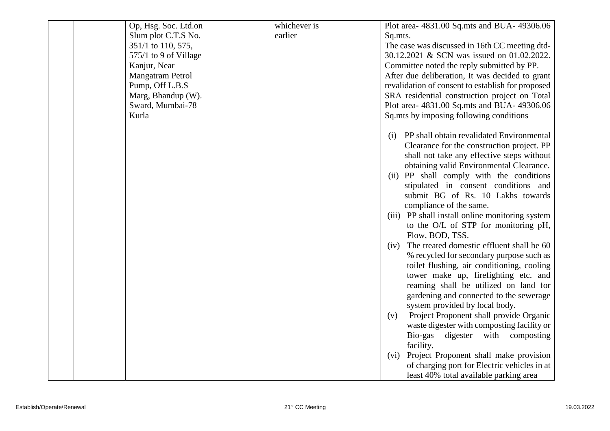| Slum plot C.T.S No.<br>earlier<br>Sq.mts.<br>351/1 to 110, 575,<br>The case was discussed in 16th CC meeting dtd-<br>30.12.2021 & SCN was issued on 01.02.2022.<br>575/1 to 9 of Village<br>Kanjur, Near<br>Committee noted the reply submitted by PP. |  |
|--------------------------------------------------------------------------------------------------------------------------------------------------------------------------------------------------------------------------------------------------------|--|
|                                                                                                                                                                                                                                                        |  |
|                                                                                                                                                                                                                                                        |  |
|                                                                                                                                                                                                                                                        |  |
|                                                                                                                                                                                                                                                        |  |
| Mangatram Petrol<br>After due deliberation, It was decided to grant                                                                                                                                                                                    |  |
| Pump, Off L.B.S<br>revalidation of consent to establish for proposed                                                                                                                                                                                   |  |
| Marg, Bhandup (W).<br>SRA residential construction project on Total                                                                                                                                                                                    |  |
| Sward, Mumbai-78<br>Plot area- 4831.00 Sq.mts and BUA- 49306.06                                                                                                                                                                                        |  |
| Kurla<br>Sq.mts by imposing following conditions                                                                                                                                                                                                       |  |
| PP shall obtain revalidated Environmental<br>(i)<br>Clearance for the construction project. PP<br>shall not take any effective steps without<br>obtaining valid Environmental Clearance.                                                               |  |
| (ii) PP shall comply with the conditions<br>stipulated in consent conditions and                                                                                                                                                                       |  |
| submit BG of Rs. 10 Lakhs towards<br>compliance of the same.                                                                                                                                                                                           |  |
| (iii) PP shall install online monitoring system<br>to the O/L of STP for monitoring pH,<br>Flow, BOD, TSS.                                                                                                                                             |  |
| The treated domestic effluent shall be 60<br>(iv)                                                                                                                                                                                                      |  |
| % recycled for secondary purpose such as                                                                                                                                                                                                               |  |
| toilet flushing, air conditioning, cooling                                                                                                                                                                                                             |  |
| tower make up, firefighting etc. and                                                                                                                                                                                                                   |  |
| reaming shall be utilized on land for                                                                                                                                                                                                                  |  |
| gardening and connected to the sewerage                                                                                                                                                                                                                |  |
| system provided by local body.                                                                                                                                                                                                                         |  |
| Project Proponent shall provide Organic<br>(v)                                                                                                                                                                                                         |  |
| waste digester with composting facility or                                                                                                                                                                                                             |  |
| Bio-gas digester with composting                                                                                                                                                                                                                       |  |
| facility.<br>(vi) Project Proponent shall make provision                                                                                                                                                                                               |  |
| of charging port for Electric vehicles in at                                                                                                                                                                                                           |  |
| least 40% total available parking area                                                                                                                                                                                                                 |  |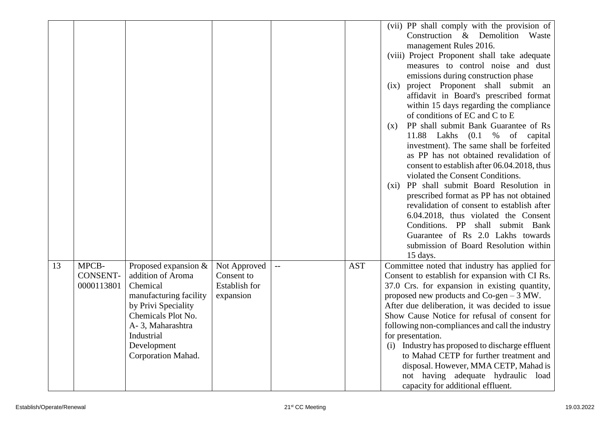|    |                 |                        |                      |                          |            | (vii) PP shall comply with the provision of     |
|----|-----------------|------------------------|----------------------|--------------------------|------------|-------------------------------------------------|
|    |                 |                        |                      |                          |            | Construction & Demolition Waste                 |
|    |                 |                        |                      |                          |            | management Rules 2016.                          |
|    |                 |                        |                      |                          |            | (viii) Project Proponent shall take adequate    |
|    |                 |                        |                      |                          |            | measures to control noise and dust              |
|    |                 |                        |                      |                          |            | emissions during construction phase             |
|    |                 |                        |                      |                          |            |                                                 |
|    |                 |                        |                      |                          |            | project Proponent shall submit an<br>(ix)       |
|    |                 |                        |                      |                          |            | affidavit in Board's prescribed format          |
|    |                 |                        |                      |                          |            | within 15 days regarding the compliance         |
|    |                 |                        |                      |                          |            | of conditions of EC and C to E                  |
|    |                 |                        |                      |                          |            | PP shall submit Bank Guarantee of Rs<br>(x)     |
|    |                 |                        |                      |                          |            | 11.88 Lakhs (0.1<br>% of capital                |
|    |                 |                        |                      |                          |            | investment). The same shall be forfeited        |
|    |                 |                        |                      |                          |            | as PP has not obtained revalidation of          |
|    |                 |                        |                      |                          |            | consent to establish after 06.04.2018, thus     |
|    |                 |                        |                      |                          |            | violated the Consent Conditions.                |
|    |                 |                        |                      |                          |            | PP shall submit Board Resolution in<br>$(x_i)$  |
|    |                 |                        |                      |                          |            | prescribed format as PP has not obtained        |
|    |                 |                        |                      |                          |            | revalidation of consent to establish after      |
|    |                 |                        |                      |                          |            | 6.04.2018, thus violated the Consent            |
|    |                 |                        |                      |                          |            | Conditions. PP shall submit Bank                |
|    |                 |                        |                      |                          |            | Guarantee of Rs 2.0 Lakhs towards               |
|    |                 |                        |                      |                          |            | submission of Board Resolution within           |
|    |                 |                        |                      |                          |            | 15 days.                                        |
| 13 | MPCB-           | Proposed expansion &   | Not Approved         | $\overline{\phantom{m}}$ | <b>AST</b> | Committee noted that industry has applied for   |
|    | <b>CONSENT-</b> | addition of Aroma      | Consent to           |                          |            | Consent to establish for expansion with CI Rs.  |
|    | 0000113801      | Chemical               | <b>Establish for</b> |                          |            | 37.0 Crs. for expansion in existing quantity,   |
|    |                 | manufacturing facility | expansion            |                          |            | proposed new products and Co-gen - 3 MW.        |
|    |                 | by Privi Speciality    |                      |                          |            | After due deliberation, it was decided to issue |
|    |                 | Chemicals Plot No.     |                      |                          |            | Show Cause Notice for refusal of consent for    |
|    |                 | A-3, Maharashtra       |                      |                          |            | following non-compliances and call the industry |
|    |                 | Industrial             |                      |                          |            | for presentation.                               |
|    |                 | Development            |                      |                          |            | (i) Industry has proposed to discharge effluent |
|    |                 | Corporation Mahad.     |                      |                          |            | to Mahad CETP for further treatment and         |
|    |                 |                        |                      |                          |            | disposal. However, MMA CETP, Mahad is           |
|    |                 |                        |                      |                          |            | not having adequate hydraulic load              |
|    |                 |                        |                      |                          |            | capacity for additional effluent.               |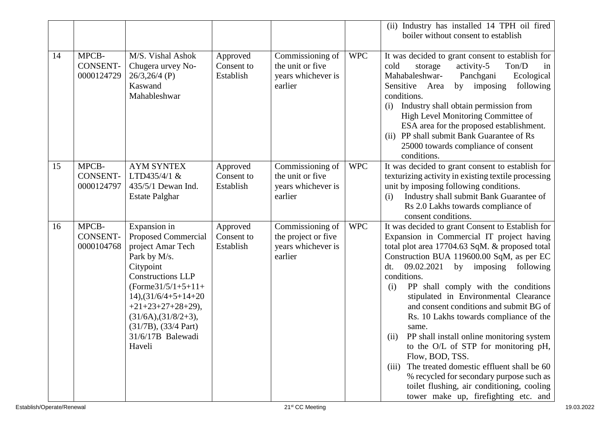|    |                                        |                                                                                                                                                                                                                                                                                                    |                                     |                                                                          |            | (ii) Industry has installed 14 TPH oil fired<br>boiler without consent to establish                                                                                                                                                                                                                                                                                                                                                                                                                                                                                                                                                                                                                                                                    |
|----|----------------------------------------|----------------------------------------------------------------------------------------------------------------------------------------------------------------------------------------------------------------------------------------------------------------------------------------------------|-------------------------------------|--------------------------------------------------------------------------|------------|--------------------------------------------------------------------------------------------------------------------------------------------------------------------------------------------------------------------------------------------------------------------------------------------------------------------------------------------------------------------------------------------------------------------------------------------------------------------------------------------------------------------------------------------------------------------------------------------------------------------------------------------------------------------------------------------------------------------------------------------------------|
| 14 | MPCB-<br><b>CONSENT-</b><br>0000124729 | M/S. Vishal Ashok<br>Chugera urvey No-<br>$26/3,26/4$ (P)<br>Kaswand<br>Mahableshwar                                                                                                                                                                                                               | Approved<br>Consent to<br>Establish | Commissioning of<br>the unit or five<br>years whichever is<br>earlier    | <b>WPC</b> | It was decided to grant consent to establish for<br>activity-5<br>Ton/D<br>cold<br>storage<br>in<br>Mahabaleshwar-<br>Panchgani<br>Ecological<br>by imposing<br>following<br>Sensitive Area<br>conditions.<br>Industry shall obtain permission from<br>(i)<br>High Level Monitoring Committee of<br>ESA area for the proposed establishment.<br>PP shall submit Bank Guarantee of Rs<br>(ii)<br>25000 towards compliance of consent<br>conditions.                                                                                                                                                                                                                                                                                                     |
| 15 | MPCB-<br><b>CONSENT-</b><br>0000124797 | <b>AYM SYNTEX</b><br>LTD435/4/1 &<br>435/5/1 Dewan Ind.<br><b>Estate Palghar</b>                                                                                                                                                                                                                   | Approved<br>Consent to<br>Establish | Commissioning of<br>the unit or five<br>years whichever is<br>earlier    | <b>WPC</b> | It was decided to grant consent to establish for<br>texturizing activity in existing textile processing<br>unit by imposing following conditions.<br>Industry shall submit Bank Guarantee of<br>(i)<br>Rs 2.0 Lakhs towards compliance of<br>consent conditions.                                                                                                                                                                                                                                                                                                                                                                                                                                                                                       |
| 16 | MPCB-<br><b>CONSENT-</b><br>0000104768 | Expansion in<br>Proposed Commercial<br>project Amar Tech<br>Park by M/s.<br>Citypoint<br><b>Constructions LLP</b><br>$(Forme31/5/1+5+11+$<br>$14$ , $\left(31/6/4+5+14+20\right)$<br>$+21+23+27+28+29$ ,<br>$(31/6A)$ , $(31/8/2+3)$ ,<br>$(31/7B)$ , $(33/4$ Part)<br>31/6/17B Balewadi<br>Haveli | Approved<br>Consent to<br>Establish | Commissioning of<br>the project or five<br>years whichever is<br>earlier | <b>WPC</b> | It was decided to grant Consent to Establish for<br>Expansion in Commercial IT project having<br>total plot area 17704.63 SqM. & proposed total<br>Construction BUA 119600.00 SqM, as per EC<br>09.02.2021<br>by imposing following<br>dt.<br>conditions.<br>PP shall comply with the conditions<br>(i)<br>stipulated in Environmental Clearance<br>and consent conditions and submit BG of<br>Rs. 10 Lakhs towards compliance of the<br>same.<br>PP shall install online monitoring system<br>(ii)<br>to the O/L of STP for monitoring pH,<br>Flow, BOD, TSS.<br>The treated domestic effluent shall be 60<br>(iii)<br>% recycled for secondary purpose such as<br>toilet flushing, air conditioning, cooling<br>tower make up, firefighting etc. and |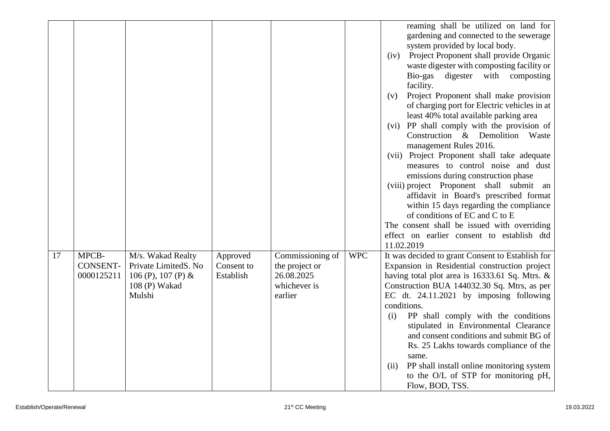|    |                 |                         |            |                         |            | reaming shall be utilized on land for                                                    |
|----|-----------------|-------------------------|------------|-------------------------|------------|------------------------------------------------------------------------------------------|
|    |                 |                         |            |                         |            | gardening and connected to the sewerage                                                  |
|    |                 |                         |            |                         |            | system provided by local body.                                                           |
|    |                 |                         |            |                         |            | Project Proponent shall provide Organic<br>(iv)                                          |
|    |                 |                         |            |                         |            | waste digester with composting facility or                                               |
|    |                 |                         |            |                         |            | Bio-gas digester with<br>composting                                                      |
|    |                 |                         |            |                         |            | facility.                                                                                |
|    |                 |                         |            |                         |            | Project Proponent shall make provision<br>(v)                                            |
|    |                 |                         |            |                         |            | of charging port for Electric vehicles in at<br>least 40% total available parking area   |
|    |                 |                         |            |                         |            | (vi) PP shall comply with the provision of                                               |
|    |                 |                         |            |                         |            | Construction & Demolition Waste                                                          |
|    |                 |                         |            |                         |            | management Rules 2016.                                                                   |
|    |                 |                         |            |                         |            | (vii) Project Proponent shall take adequate                                              |
|    |                 |                         |            |                         |            | measures to control noise and dust                                                       |
|    |                 |                         |            |                         |            | emissions during construction phase                                                      |
|    |                 |                         |            |                         |            | (viii) project Proponent shall submit an                                                 |
|    |                 |                         |            |                         |            | affidavit in Board's prescribed format                                                   |
|    |                 |                         |            |                         |            | within 15 days regarding the compliance                                                  |
|    |                 |                         |            |                         |            | of conditions of EC and C to E                                                           |
|    |                 |                         |            |                         |            | The consent shall be issued with overriding                                              |
|    |                 |                         |            |                         |            | effect on earlier consent to establish dtd                                               |
|    |                 |                         |            |                         |            | 11.02.2019                                                                               |
| 17 | MPCB-           | M/s. Wakad Realty       | Approved   | Commissioning of        | <b>WPC</b> | It was decided to grant Consent to Establish for                                         |
|    | <b>CONSENT-</b> | Private LimitedS. No    | Consent to | the project or          |            | Expansion in Residential construction project                                            |
|    | 0000125211      | 106 (P), 107 (P) $\&$   | Establish  | 26.08.2025              |            | having total plot area is 16333.61 Sq. Mtrs. &                                           |
|    |                 | 108 (P) Wakad<br>Mulshi |            | whichever is<br>earlier |            | Construction BUA 144032.30 Sq. Mtrs, as per<br>EC dt. $24.11.2021$ by imposing following |
|    |                 |                         |            |                         |            | conditions.                                                                              |
|    |                 |                         |            |                         |            | PP shall comply with the conditions<br>(i)                                               |
|    |                 |                         |            |                         |            | stipulated in Environmental Clearance                                                    |
|    |                 |                         |            |                         |            | and consent conditions and submit BG of                                                  |
|    |                 |                         |            |                         |            | Rs. 25 Lakhs towards compliance of the                                                   |
|    |                 |                         |            |                         |            | same.                                                                                    |
|    |                 |                         |            |                         |            | PP shall install online monitoring system<br>(ii)                                        |
|    |                 |                         |            |                         |            | to the O/L of STP for monitoring pH,                                                     |
|    |                 |                         |            |                         |            | Flow, BOD, TSS.                                                                          |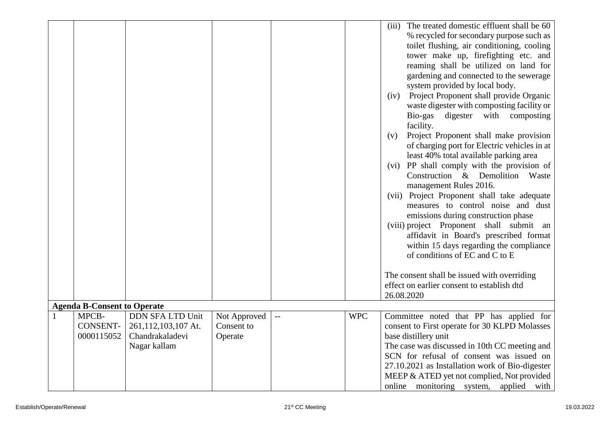|                                    |                     |              |            | (iii) The treated domestic effluent shall be 60<br>% recycled for secondary purpose such as<br>toilet flushing, air conditioning, cooling<br>tower make up, firefighting etc. and<br>reaming shall be utilized on land for<br>gardening and connected to the sewerage<br>system provided by local body.<br>Project Proponent shall provide Organic<br>(iv)<br>waste digester with composting facility or<br>Bio-gas digester with composting<br>facility.<br>Project Proponent shall make provision<br>(v)<br>of charging port for Electric vehicles in at<br>least 40% total available parking area<br>(vi) PP shall comply with the provision of<br>Construction & Demolition Waste<br>management Rules 2016.<br>(vii) Project Proponent shall take adequate<br>measures to control noise and dust<br>emissions during construction phase<br>(viii) project Proponent shall submit<br>an<br>affidavit in Board's prescribed format<br>within 15 days regarding the compliance<br>of conditions of EC and C to E<br>The consent shall be issued with overriding<br>effect on earlier consent to establish dtd<br>26.08.2020 |
|------------------------------------|---------------------|--------------|------------|------------------------------------------------------------------------------------------------------------------------------------------------------------------------------------------------------------------------------------------------------------------------------------------------------------------------------------------------------------------------------------------------------------------------------------------------------------------------------------------------------------------------------------------------------------------------------------------------------------------------------------------------------------------------------------------------------------------------------------------------------------------------------------------------------------------------------------------------------------------------------------------------------------------------------------------------------------------------------------------------------------------------------------------------------------------------------------------------------------------------------|
| <b>Agenda B-Consent to Operate</b> |                     |              |            |                                                                                                                                                                                                                                                                                                                                                                                                                                                                                                                                                                                                                                                                                                                                                                                                                                                                                                                                                                                                                                                                                                                              |
| MPCB-                              | DDN SFA LTD Unit    | Not Approved | <b>WPC</b> | Committee noted that PP has applied for                                                                                                                                                                                                                                                                                                                                                                                                                                                                                                                                                                                                                                                                                                                                                                                                                                                                                                                                                                                                                                                                                      |
| <b>CONSENT-</b>                    | 261,112,103,107 At. | Consent to   |            | consent to First operate for 30 KLPD Molasses                                                                                                                                                                                                                                                                                                                                                                                                                                                                                                                                                                                                                                                                                                                                                                                                                                                                                                                                                                                                                                                                                |
| 0000115052                         | Chandrakaladevi     | Operate      |            | base distillery unit                                                                                                                                                                                                                                                                                                                                                                                                                                                                                                                                                                                                                                                                                                                                                                                                                                                                                                                                                                                                                                                                                                         |
|                                    | Nagar kallam        |              |            | The case was discussed in 10th CC meeting and<br>SCN for refusal of consent was issued on                                                                                                                                                                                                                                                                                                                                                                                                                                                                                                                                                                                                                                                                                                                                                                                                                                                                                                                                                                                                                                    |
|                                    |                     |              |            | 27.10.2021 as Installation work of Bio-digester                                                                                                                                                                                                                                                                                                                                                                                                                                                                                                                                                                                                                                                                                                                                                                                                                                                                                                                                                                                                                                                                              |
|                                    |                     |              |            | MEEP & ATED yet not complied, Not provided                                                                                                                                                                                                                                                                                                                                                                                                                                                                                                                                                                                                                                                                                                                                                                                                                                                                                                                                                                                                                                                                                   |
|                                    |                     |              |            | online monitoring system,<br>applied with                                                                                                                                                                                                                                                                                                                                                                                                                                                                                                                                                                                                                                                                                                                                                                                                                                                                                                                                                                                                                                                                                    |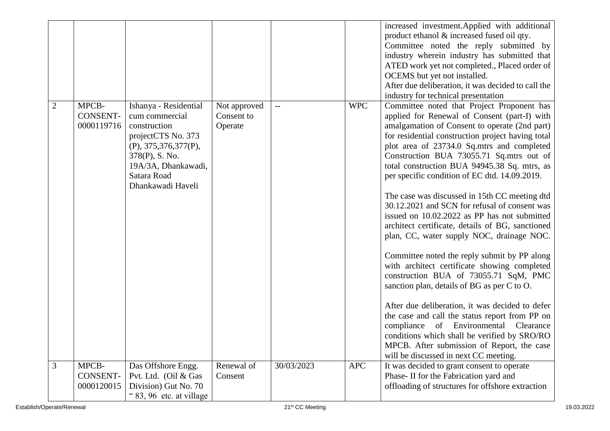|   |                                        |                                                                                                                                                                                      |                                       |            |            | increased investment. Applied with additional<br>product ethanol & increased fused oil qty.<br>Committee noted the reply submitted by<br>industry wherein industry has submitted that<br>ATED work yet not completed., Placed order of<br>OCEMS but yet not installed.<br>After due deliberation, it was decided to call the<br>industry for technical presentation                                                                                                                                                                                                                                                                                                                                                                                                                                                                                                                                                                                                                                                                                                                                                               |
|---|----------------------------------------|--------------------------------------------------------------------------------------------------------------------------------------------------------------------------------------|---------------------------------------|------------|------------|-----------------------------------------------------------------------------------------------------------------------------------------------------------------------------------------------------------------------------------------------------------------------------------------------------------------------------------------------------------------------------------------------------------------------------------------------------------------------------------------------------------------------------------------------------------------------------------------------------------------------------------------------------------------------------------------------------------------------------------------------------------------------------------------------------------------------------------------------------------------------------------------------------------------------------------------------------------------------------------------------------------------------------------------------------------------------------------------------------------------------------------|
| 2 | MPCB-<br><b>CONSENT-</b><br>0000119716 | Ishanya - Residential<br>cum commercial<br>construction<br>projectCTS No. 373<br>(P), 375, 376, 377(P),<br>378(P), S. No.<br>19A/3A, Dhankawadi,<br>Satara Road<br>Dhankawadi Haveli | Not approved<br>Consent to<br>Operate |            | <b>WPC</b> | Committee noted that Project Proponent has<br>applied for Renewal of Consent (part-I) with<br>amalgamation of Consent to operate (2nd part)<br>for residential construction project having total<br>plot area of 23734.0 Sq.mtrs and completed<br>Construction BUA 73055.71 Sq.mtrs out of<br>total construction BUA 94945.38 Sq. mtrs, as<br>per specific condition of EC dtd. 14.09.2019.<br>The case was discussed in 15th CC meeting dtd<br>30.12.2021 and SCN for refusal of consent was<br>issued on 10.02.2022 as PP has not submitted<br>architect certificate, details of BG, sanctioned<br>plan, CC, water supply NOC, drainage NOC.<br>Committee noted the reply submit by PP along<br>with architect certificate showing completed<br>construction BUA of 73055.71 SqM, PMC<br>sanction plan, details of BG as per C to O.<br>After due deliberation, it was decided to defer<br>the case and call the status report from PP on<br>of Environmental<br>compliance<br>Clearance<br>conditions which shall be verified by SRO/RO<br>MPCB. After submission of Report, the case<br>will be discussed in next CC meeting. |
| 3 | MPCB-<br><b>CONSENT-</b><br>0000120015 | Das Offshore Engg.<br>Pvt. Ltd. (Oil & Gas<br>Division) Gut No. 70<br>"83, 96 etc. at village                                                                                        | Renewal of<br>Consent                 | 30/03/2023 | <b>APC</b> | It was decided to grant consent to operate<br>Phase-II for the Fabrication yard and<br>offloading of structures for offshore extraction                                                                                                                                                                                                                                                                                                                                                                                                                                                                                                                                                                                                                                                                                                                                                                                                                                                                                                                                                                                           |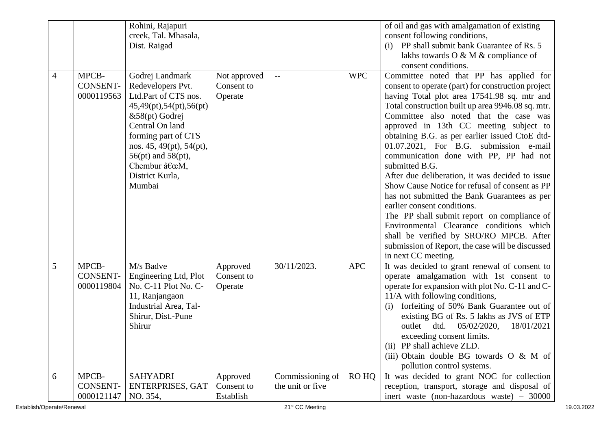|                |                                        | Rohini, Rajapuri<br>creek, Tal. Mhasala,<br>Dist. Raigad                                                                                                                                                                                               |                                       |                                      |            | of oil and gas with amalgamation of existing<br>consent following conditions,<br>PP shall submit bank Guarantee of Rs. 5<br>(i)<br>lakhs towards O & M & compliance of<br>consent conditions.                                                                                                                                                                                                                                                                                                                                                                                                                                                                                                                                                                                                                                                      |
|----------------|----------------------------------------|--------------------------------------------------------------------------------------------------------------------------------------------------------------------------------------------------------------------------------------------------------|---------------------------------------|--------------------------------------|------------|----------------------------------------------------------------------------------------------------------------------------------------------------------------------------------------------------------------------------------------------------------------------------------------------------------------------------------------------------------------------------------------------------------------------------------------------------------------------------------------------------------------------------------------------------------------------------------------------------------------------------------------------------------------------------------------------------------------------------------------------------------------------------------------------------------------------------------------------------|
| $\overline{4}$ | MPCB-<br><b>CONSENT-</b><br>0000119563 | Godrej Landmark<br>Redevelopers Pvt.<br>Ltd.Part of CTS nos.<br>45,49(pt),54(pt),56(pt)<br>&58(pt) Godrej<br>Central On land<br>forming part of CTS<br>nos. 45, 49(pt), 54(pt),<br>$56(pt)$ and $58(pt)$ ,<br>Chembur "M,<br>District Kurla,<br>Mumbai | Not approved<br>Consent to<br>Operate |                                      | <b>WPC</b> | Committee noted that PP has applied for<br>consent to operate (part) for construction project<br>having Total plot area 17541.98 sq. mtr and<br>Total construction built up area 9946.08 sq. mtr.<br>Committee also noted that the case was<br>approved in 13th CC meeting subject to<br>obtaining B.G. as per earlier issued CtoE dtd-<br>01.07.2021, For B.G. submission e-mail<br>communication done with PP, PP had not<br>submitted B.G.<br>After due deliberation, it was decided to issue<br>Show Cause Notice for refusal of consent as PP<br>has not submitted the Bank Guarantees as per<br>earlier consent conditions.<br>The PP shall submit report on compliance of<br>Environmental Clearance conditions which<br>shall be verified by SRO/RO MPCB. After<br>submission of Report, the case will be discussed<br>in next CC meeting. |
| 5              | MPCB-<br><b>CONSENT-</b><br>0000119804 | M/s Badve<br>Engineering Ltd, Plot<br>No. C-11 Plot No. C-<br>11, Ranjangaon<br>Industrial Area, Tal-<br>Shirur, Dist.-Pune<br>Shirur                                                                                                                  | Approved<br>Consent to<br>Operate     | 30/11/2023.                          | <b>APC</b> | It was decided to grant renewal of consent to<br>operate amalgamation with 1st consent to<br>operate for expansion with plot No. C-11 and C-<br>11/A with following conditions,<br>forfeiting of 50% Bank Guarantee out of<br>(i)<br>existing BG of Rs. 5 lakhs as JVS of ETP<br>outlet dtd. 05/02/2020,<br>18/01/2021<br>exceeding consent limits.<br>(ii) PP shall achieve ZLD.<br>(iii) Obtain double BG towards $O & M$ of<br>pollution control systems.                                                                                                                                                                                                                                                                                                                                                                                       |
| 6              | MPCB-<br><b>CONSENT-</b><br>0000121147 | <b>SAHYADRI</b><br><b>ENTERPRISES, GAT</b><br>NO. 354,                                                                                                                                                                                                 | Approved<br>Consent to<br>Establish   | Commissioning of<br>the unit or five | RO HQ      | It was decided to grant NOC for collection<br>reception, transport, storage and disposal of<br>inert waste (non-hazardous waste) - 30000                                                                                                                                                                                                                                                                                                                                                                                                                                                                                                                                                                                                                                                                                                           |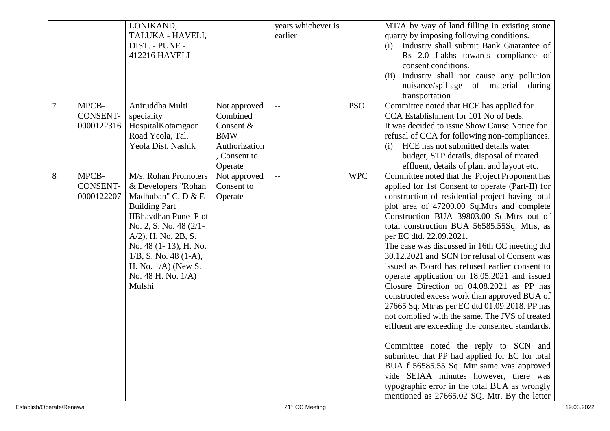|        |                 | LONIKAND,                   |               | years whichever is |            | MT/A by way of land filling in existing stone    |
|--------|-----------------|-----------------------------|---------------|--------------------|------------|--------------------------------------------------|
|        |                 |                             |               |                    |            |                                                  |
|        |                 | TALUKA - HAVELI,            |               | earlier            |            | quarry by imposing following conditions.         |
|        |                 | DIST. - PUNE -              |               |                    |            | Industry shall submit Bank Guarantee of<br>(i)   |
|        |                 | 412216 HAVELI               |               |                    |            | Rs 2.0 Lakhs towards compliance of               |
|        |                 |                             |               |                    |            | consent conditions.                              |
|        |                 |                             |               |                    |            | Industry shall not cause any pollution<br>(ii)   |
|        |                 |                             |               |                    |            | nuisance/spillage of material<br>during          |
|        |                 |                             |               |                    |            | transportation                                   |
| $\tau$ | MPCB-           | Aniruddha Multi             | Not approved  | $\overline{a}$     | <b>PSO</b> | Committee noted that HCE has applied for         |
|        | <b>CONSENT-</b> | speciality                  | Combined      |                    |            | CCA Establishment for 101 No of beds.            |
|        | 0000122316      | HospitalKotamgaon           | Consent &     |                    |            | It was decided to issue Show Cause Notice for    |
|        |                 | Road Yeola, Tal.            | <b>BMW</b>    |                    |            | refusal of CCA for following non-compliances.    |
|        |                 | Yeola Dist. Nashik          | Authorization |                    |            | HCE has not submitted details water<br>(i)       |
|        |                 |                             | , Consent to  |                    |            | budget, STP details, disposal of treated         |
|        |                 |                             | Operate       |                    |            | effluent, details of plant and layout etc.       |
| 8      | MPCB-           | M/s. Rohan Promoters        | Not approved  |                    | <b>WPC</b> | Committee noted that the Project Proponent has   |
|        | <b>CONSENT-</b> | & Developers "Rohan         | Consent to    |                    |            | applied for 1st Consent to operate (Part-II) for |
|        | 0000122207      | Madhuban" C, D & E          | Operate       |                    |            | construction of residential project having total |
|        |                 | <b>Building Part</b>        |               |                    |            | plot area of 47200.00 Sq.Mtrs and complete       |
|        |                 | <b>IIBhavdhan Pune Plot</b> |               |                    |            | Construction BUA 39803.00 Sq.Mtrs out of         |
|        |                 | No. 2, S. No. 48 (2/1-      |               |                    |            | total construction BUA 56585.55Sq. Mtrs, as      |
|        |                 | A/2), H. No. 2B, S.         |               |                    |            | per EC dtd. 22.09.2021.                          |
|        |                 |                             |               |                    |            |                                                  |
|        |                 | No. 48 (1-13), H. No.       |               |                    |            | The case was discussed in 16th CC meeting dtd    |
|        |                 | $1/B$ , S. No. 48 (1-A),    |               |                    |            | 30.12.2021 and SCN for refusal of Consent was    |
|        |                 | H. No. $1/A$ ) (New S.      |               |                    |            | issued as Board has refused earlier consent to   |
|        |                 | No. 48 H. No. 1/A)          |               |                    |            | operate application on 18.05.2021 and issued     |
|        |                 | Mulshi                      |               |                    |            | Closure Direction on 04.08.2021 as PP has        |
|        |                 |                             |               |                    |            | constructed excess work than approved BUA of     |
|        |                 |                             |               |                    |            | 27665 Sq. Mtr as per EC dtd 01.09.2018. PP has   |
|        |                 |                             |               |                    |            | not complied with the same. The JVS of treated   |
|        |                 |                             |               |                    |            | effluent are exceeding the consented standards.  |
|        |                 |                             |               |                    |            |                                                  |
|        |                 |                             |               |                    |            | Committee noted the reply to SCN and             |
|        |                 |                             |               |                    |            | submitted that PP had applied for EC for total   |
|        |                 |                             |               |                    |            | BUA f 56585.55 Sq. Mtr same was approved         |
|        |                 |                             |               |                    |            | vide SEIAA minutes however, there was            |
|        |                 |                             |               |                    |            | typographic error in the total BUA as wrongly    |
|        |                 |                             |               |                    |            | mentioned as 27665.02 SQ. Mtr. By the letter     |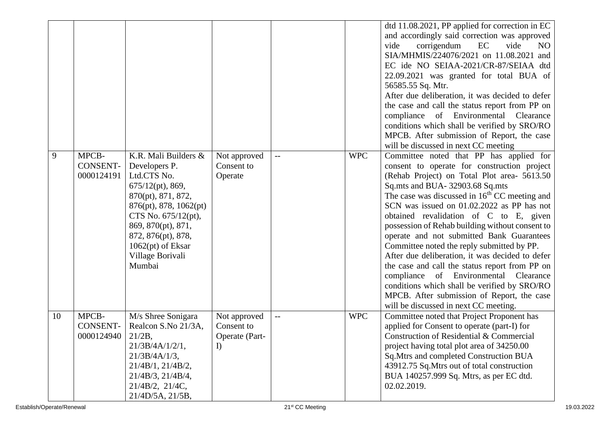|    |                                        |                                                                                                                                                                                                                                                     |                                                          |                          |            | dtd 11.08.2021, PP applied for correction in EC<br>and accordingly said correction was approved<br>EC<br>vide<br>corrigendum<br>vide<br>N <sub>O</sub><br>SIA/MHMIS/224076/2021 on 11.08.2021 and<br>EC ide NO SEIAA-2021/CR-87/SEIAA dtd<br>22.09.2021 was granted for total BUA of<br>56585.55 Sq. Mtr.<br>After due deliberation, it was decided to defer<br>the case and call the status report from PP on<br>compliance of Environmental Clearance<br>conditions which shall be verified by SRO/RO<br>MPCB. After submission of Report, the case<br>will be discussed in next CC meeting                                                                                                                                                                    |
|----|----------------------------------------|-----------------------------------------------------------------------------------------------------------------------------------------------------------------------------------------------------------------------------------------------------|----------------------------------------------------------|--------------------------|------------|------------------------------------------------------------------------------------------------------------------------------------------------------------------------------------------------------------------------------------------------------------------------------------------------------------------------------------------------------------------------------------------------------------------------------------------------------------------------------------------------------------------------------------------------------------------------------------------------------------------------------------------------------------------------------------------------------------------------------------------------------------------|
| 9  | MPCB-<br><b>CONSENT-</b><br>0000124191 | K.R. Mali Builders &<br>Developers P.<br>Ltd.CTS No.<br>$675/12(pt)$ , 869,<br>870(pt), 871, 872,<br>876(pt), 878, 1062(pt)<br>CTS No. 675/12(pt),<br>869, 870(pt), 871,<br>872, 876(pt), 878,<br>$1062(pt)$ of Eksar<br>Village Borivali<br>Mumbai | Not approved<br>Consent to<br>Operate                    | $\overline{\phantom{m}}$ | <b>WPC</b> | Committee noted that PP has applied for<br>consent to operate for construction project<br>(Rehab Project) on Total Plot area- 5613.50<br>Sq.mts and BUA- 32903.68 Sq.mts<br>The case was discussed in 16 <sup>th</sup> CC meeting and<br>SCN was issued on 01.02.2022 as PP has not<br>obtained revalidation of C to E, given<br>possession of Rehab building without consent to<br>operate and not submitted Bank Guarantees<br>Committee noted the reply submitted by PP.<br>After due deliberation, it was decided to defer<br>the case and call the status report from PP on<br>compliance of Environmental Clearance<br>conditions which shall be verified by SRO/RO<br>MPCB. After submission of Report, the case<br>will be discussed in next CC meeting. |
| 10 | MPCB-<br><b>CONSENT-</b><br>0000124940 | M/s Shree Sonigara<br>Realcon S.No 21/3A,<br>$21/2B$ ,<br>21/3B/4A/1/2/1,<br>$21/3B/4A/1/3$ ,<br>$21/4B/1$ , $21/4B/2$ ,<br>21/4B/3, 21/4B/4,<br>$21/4B/2$ , $21/4C$ ,<br>21/4D/5A, 21/5B,                                                          | Not approved<br>Consent to<br>Operate (Part-<br>$\bf{l}$ | $\overline{\phantom{m}}$ | <b>WPC</b> | Committee noted that Project Proponent has<br>applied for Consent to operate (part-I) for<br>Construction of Residential & Commercial<br>project having total plot area of 34250.00<br>Sq.Mtrs and completed Construction BUA<br>43912.75 Sq. Mtrs out of total construction<br>BUA 140257.999 Sq. Mtrs, as per EC dtd.<br>02.02.2019.                                                                                                                                                                                                                                                                                                                                                                                                                           |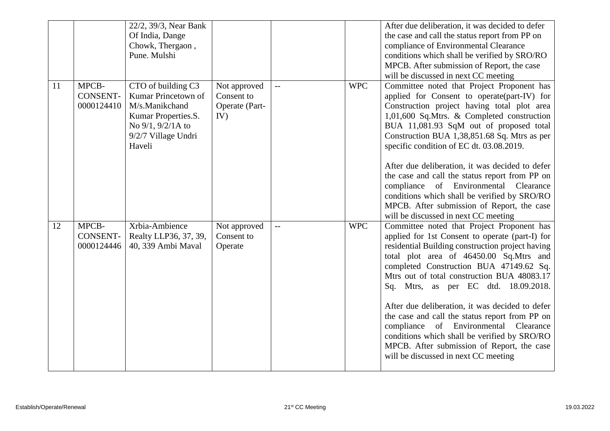|    |                                        | 22/2, 39/3, Near Bank<br>Of India, Dange<br>Chowk, Thergaon,<br>Pune. Mulshi                                                             |                                                     |                          |            | After due deliberation, it was decided to defer<br>the case and call the status report from PP on<br>compliance of Environmental Clearance<br>conditions which shall be verified by SRO/RO<br>MPCB. After submission of Report, the case<br>will be discussed in next CC meeting                                                                                                                                                                                                                                                                                                                                      |
|----|----------------------------------------|------------------------------------------------------------------------------------------------------------------------------------------|-----------------------------------------------------|--------------------------|------------|-----------------------------------------------------------------------------------------------------------------------------------------------------------------------------------------------------------------------------------------------------------------------------------------------------------------------------------------------------------------------------------------------------------------------------------------------------------------------------------------------------------------------------------------------------------------------------------------------------------------------|
| 11 | MPCB-<br><b>CONSENT-</b><br>0000124410 | CTO of building C3<br>Kumar Princetown of<br>M/s.Manikchand<br>Kumar Properties.S.<br>No 9/1, 9/2/1A to<br>9/2/7 Village Undri<br>Haveli | Not approved<br>Consent to<br>Operate (Part-<br>IV) | $\overline{\phantom{m}}$ | <b>WPC</b> | Committee noted that Project Proponent has<br>applied for Consent to operate(part-IV) for<br>Construction project having total plot area<br>1,01,600 Sq.Mtrs. & Completed construction<br>BUA 11,081.93 SqM out of proposed total<br>Construction BUA 1,38,851.68 Sq. Mtrs as per<br>specific condition of EC dt. 03.08.2019.<br>After due deliberation, it was decided to defer<br>the case and call the status report from PP on<br>compliance of Environmental<br>Clearance<br>conditions which shall be verified by SRO/RO<br>MPCB. After submission of Report, the case<br>will be discussed in next CC meeting  |
| 12 | MPCB-<br><b>CONSENT-</b><br>0000124446 | Xrbia-Ambience<br>Realty LLP36, 37, 39,<br>40, 339 Ambi Maval                                                                            | Not approved<br>Consent to<br>Operate               | --                       | <b>WPC</b> | Committee noted that Project Proponent has<br>applied for 1st Consent to operate (part-I) for<br>residential Building construction project having<br>total plot area of 46450.00 Sq.Mtrs and<br>completed Construction BUA 47149.62 Sq.<br>Mtrs out of total construction BUA 48083.17<br>Sq. Mtrs, as per EC dtd. 18.09.2018.<br>After due deliberation, it was decided to defer<br>the case and call the status report from PP on<br>compliance of Environmental<br>Clearance<br>conditions which shall be verified by SRO/RO<br>MPCB. After submission of Report, the case<br>will be discussed in next CC meeting |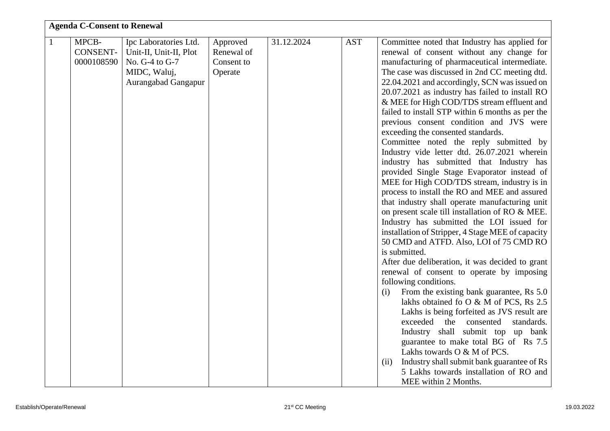|              | <b>Agenda C-Consent to Renewal</b> |                        |            |            |            |                                                                                        |  |  |
|--------------|------------------------------------|------------------------|------------|------------|------------|----------------------------------------------------------------------------------------|--|--|
| $\mathbf{1}$ | MPCB-                              | Ipc Laboratories Ltd.  | Approved   | 31.12.2024 | <b>AST</b> | Committee noted that Industry has applied for                                          |  |  |
|              | <b>CONSENT-</b>                    | Unit-II, Unit-II, Plot | Renewal of |            |            | renewal of consent without any change for                                              |  |  |
|              | 0000108590                         | No. G-4 to G-7         | Consent to |            |            | manufacturing of pharmaceutical intermediate.                                          |  |  |
|              |                                    | MIDC, Waluj,           | Operate    |            |            | The case was discussed in 2nd CC meeting dtd.                                          |  |  |
|              |                                    | Aurangabad Gangapur    |            |            |            | 22.04.2021 and accordingly, SCN was issued on                                          |  |  |
|              |                                    |                        |            |            |            | 20.07.2021 as industry has failed to install RO                                        |  |  |
|              |                                    |                        |            |            |            | & MEE for High COD/TDS stream effluent and                                             |  |  |
|              |                                    |                        |            |            |            | failed to install STP within 6 months as per the                                       |  |  |
|              |                                    |                        |            |            |            | previous consent condition and JVS were                                                |  |  |
|              |                                    |                        |            |            |            | exceeding the consented standards.                                                     |  |  |
|              |                                    |                        |            |            |            | Committee noted the reply submitted by<br>Industry vide letter dtd. 26.07.2021 wherein |  |  |
|              |                                    |                        |            |            |            | industry has submitted that Industry has                                               |  |  |
|              |                                    |                        |            |            |            | provided Single Stage Evaporator instead of                                            |  |  |
|              |                                    |                        |            |            |            | MEE for High COD/TDS stream, industry is in                                            |  |  |
|              |                                    |                        |            |            |            | process to install the RO and MEE and assured                                          |  |  |
|              |                                    |                        |            |            |            | that industry shall operate manufacturing unit                                         |  |  |
|              |                                    |                        |            |            |            | on present scale till installation of RO & MEE.                                        |  |  |
|              |                                    |                        |            |            |            | Industry has submitted the LOI issued for                                              |  |  |
|              |                                    |                        |            |            |            | installation of Stripper, 4 Stage MEE of capacity                                      |  |  |
|              |                                    |                        |            |            |            | 50 CMD and ATFD. Also, LOI of 75 CMD RO                                                |  |  |
|              |                                    |                        |            |            |            | is submitted.                                                                          |  |  |
|              |                                    |                        |            |            |            | After due deliberation, it was decided to grant                                        |  |  |
|              |                                    |                        |            |            |            | renewal of consent to operate by imposing<br>following conditions.                     |  |  |
|              |                                    |                        |            |            |            | From the existing bank guarantee, Rs 5.0<br>(i)                                        |  |  |
|              |                                    |                        |            |            |            | lakhs obtained fo O & M of PCS, Rs 2.5                                                 |  |  |
|              |                                    |                        |            |            |            | Lakhs is being forfeited as JVS result are                                             |  |  |
|              |                                    |                        |            |            |            | exceeded<br>the consented<br>standards.                                                |  |  |
|              |                                    |                        |            |            |            | Industry shall submit top up bank                                                      |  |  |
|              |                                    |                        |            |            |            | guarantee to make total BG of Rs 7.5                                                   |  |  |
|              |                                    |                        |            |            |            | Lakhs towards O & M of PCS.                                                            |  |  |
|              |                                    |                        |            |            |            | Industry shall submit bank guarantee of Rs<br>(ii)                                     |  |  |
|              |                                    |                        |            |            |            | 5 Lakhs towards installation of RO and                                                 |  |  |
|              |                                    |                        |            |            |            | MEE within 2 Months.                                                                   |  |  |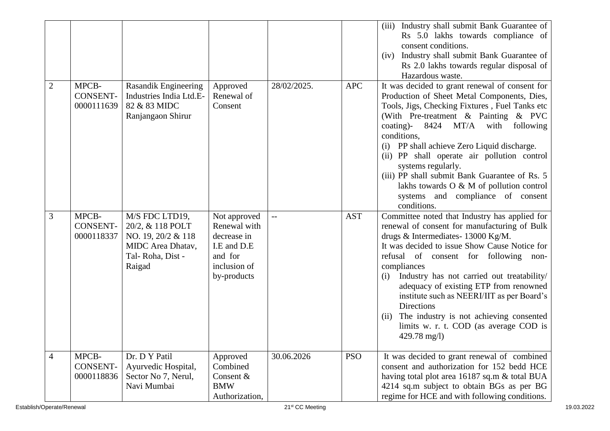|                |                                        |                                                                                                                    |                                                                                                      |             |            | Industry shall submit Bank Guarantee of<br>(iii)<br>Rs 5.0 lakhs towards compliance of<br>consent conditions.<br>Industry shall submit Bank Guarantee of<br>(iv)<br>Rs 2.0 lakhs towards regular disposal of                                                                                                                                                                                                                                                                                                                                        |
|----------------|----------------------------------------|--------------------------------------------------------------------------------------------------------------------|------------------------------------------------------------------------------------------------------|-------------|------------|-----------------------------------------------------------------------------------------------------------------------------------------------------------------------------------------------------------------------------------------------------------------------------------------------------------------------------------------------------------------------------------------------------------------------------------------------------------------------------------------------------------------------------------------------------|
| 2              | MPCB-<br><b>CONSENT-</b><br>0000111639 | Rasandik Engineering<br>Industries India Ltd.E-<br>82 & 83 MIDC<br>Ranjangaon Shirur                               | Approved<br>Renewal of<br>Consent                                                                    | 28/02/2025. | <b>APC</b> | Hazardous waste.<br>It was decided to grant renewal of consent for<br>Production of Sheet Metal Components, Dies,<br>Tools, Jigs, Checking Fixtures, Fuel Tanks etc<br>(With Pre-treatment & Painting & PVC<br>coating)-<br>8424<br>MT/A<br>with<br>following<br>conditions,<br>(i) PP shall achieve Zero Liquid discharge.<br>(ii) PP shall operate air pollution control<br>systems regularly.<br>(iii) PP shall submit Bank Guarantee of Rs. 5<br>lakhs towards $O & M$ of pollution control<br>systems and compliance of consent<br>conditions. |
| 3              | MPCB-<br>CONSENT-<br>0000118337        | M/S FDC LTD19,<br>20/2, & 118 POLT<br>NO. 19, 20/2 & 118<br><b>MIDC</b> Area Dhatav,<br>Tal-Roha, Dist -<br>Raigad | Not approved<br>Renewal with<br>decrease in<br>I.E and D.E<br>and for<br>inclusion of<br>by-products | $-$         | <b>AST</b> | Committee noted that Industry has applied for<br>renewal of consent for manufacturing of Bulk<br>drugs & Intermediates- 13000 Kg/M.<br>It was decided to issue Show Cause Notice for<br>refusal of consent for following non-<br>compliances<br>Industry has not carried out treatability/<br>(i)<br>adequacy of existing ETP from renowned<br>institute such as NEERI/IIT as per Board's<br>Directions<br>The industry is not achieving consented<br>(ii)<br>limits w. r. t. COD (as average COD is<br>$429.78$ mg/l)                              |
| $\overline{4}$ | MPCB-<br><b>CONSENT-</b><br>0000118836 | Dr. D Y Patil<br>Ayurvedic Hospital,<br>Sector No 7, Nerul,<br>Navi Mumbai                                         | Approved<br>Combined<br>Consent &<br><b>BMW</b><br>Authorization,                                    | 30.06.2026  | <b>PSO</b> | It was decided to grant renewal of combined<br>consent and authorization for 152 bedd HCE<br>having total plot area 16187 sq.m & total BUA<br>4214 sq.m subject to obtain BGs as per BG<br>regime for HCE and with following conditions.                                                                                                                                                                                                                                                                                                            |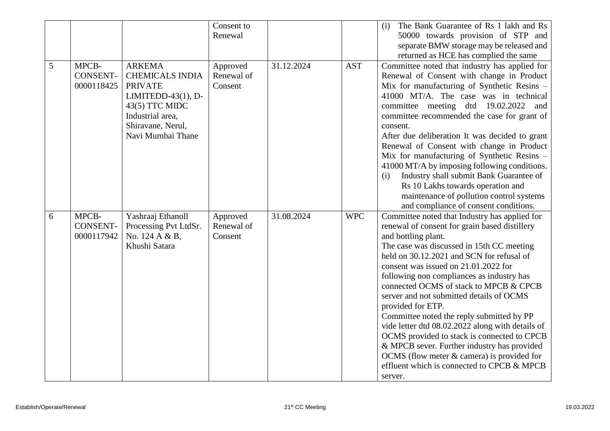|   |                                        |                                                                                                                                                                     | Consent to                        |            |            | The Bank Guarantee of Rs 1 lakh and Rs<br>(i)                                                                                                                                                                                                                                                                                                                                                                                                                                                                                                                                                                                                                                                                           |
|---|----------------------------------------|---------------------------------------------------------------------------------------------------------------------------------------------------------------------|-----------------------------------|------------|------------|-------------------------------------------------------------------------------------------------------------------------------------------------------------------------------------------------------------------------------------------------------------------------------------------------------------------------------------------------------------------------------------------------------------------------------------------------------------------------------------------------------------------------------------------------------------------------------------------------------------------------------------------------------------------------------------------------------------------------|
|   |                                        |                                                                                                                                                                     | Renewal                           |            |            | 50000 towards provision of STP and                                                                                                                                                                                                                                                                                                                                                                                                                                                                                                                                                                                                                                                                                      |
|   |                                        |                                                                                                                                                                     |                                   |            |            | separate BMW storage may be released and                                                                                                                                                                                                                                                                                                                                                                                                                                                                                                                                                                                                                                                                                |
|   |                                        |                                                                                                                                                                     |                                   |            |            | returned as HCE has complied the same                                                                                                                                                                                                                                                                                                                                                                                                                                                                                                                                                                                                                                                                                   |
| 5 | MPCB-<br><b>CONSENT-</b><br>0000118425 | <b>ARKEMA</b><br><b>CHEMICALS INDIA</b><br><b>PRIVATE</b><br>LIMITEDD-43 $(1)$ , D-<br>43(5) TTC MIDC<br>Industrial area,<br>Shiravane, Nerul,<br>Navi Mumbai Thane | Approved<br>Renewal of<br>Consent | 31.12.2024 | <b>AST</b> | Committee noted that industry has applied for<br>Renewal of Consent with change in Product<br>Mix for manufacturing of Synthetic Resins -<br>41000 MT/A. The case was in technical<br>committee meeting dtd 19.02.2022 and<br>committee recommended the case for grant of<br>consent.<br>After due deliberation It was decided to grant<br>Renewal of Consent with change in Product<br>Mix for manufacturing of Synthetic Resins -<br>41000 MT/A by imposing following conditions.<br>Industry shall submit Bank Guarantee of<br>(i)<br>Rs 10 Lakhs towards operation and<br>maintenance of pollution control systems<br>and compliance of consent conditions.                                                         |
| 6 | MPCB-<br><b>CONSENT-</b><br>0000117942 | Yashraaj Ethanoll<br>Processing Pvt LtdSr.<br>No. 124 A & B,<br>Khushi Satara                                                                                       | Approved<br>Renewal of<br>Consent | 31.08.2024 | <b>WPC</b> | Committee noted that Industry has applied for<br>renewal of consent for grain based distillery<br>and bottling plant.<br>The case was discussed in 15th CC meeting<br>held on 30.12.2021 and SCN for refusal of<br>consent was issued on 21.01.2022 for<br>following non compliances as industry has<br>connected OCMS of stack to MPCB & CPCB<br>server and not submitted details of OCMS<br>provided for ETP.<br>Committee noted the reply submitted by PP<br>vide letter dtd 08.02.2022 along with details of<br>OCMS provided to stack is connected to CPCB<br>& MPCB sever. Further industry has provided<br>OCMS (flow meter $&$ camera) is provided for<br>effluent which is connected to CPCB & MPCB<br>server. |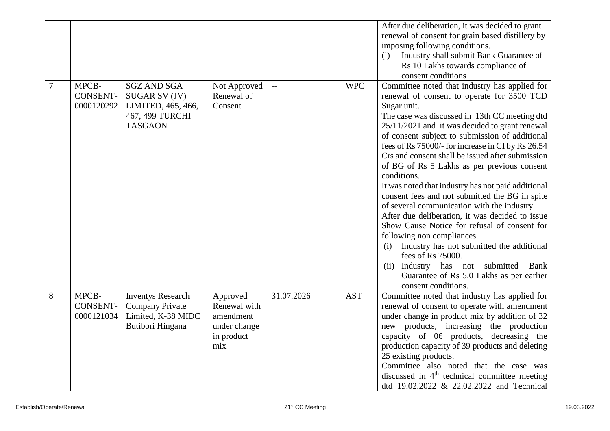|   |                 |                          |              |                          |            | After due deliberation, it was decided to grant          |
|---|-----------------|--------------------------|--------------|--------------------------|------------|----------------------------------------------------------|
|   |                 |                          |              |                          |            | renewal of consent for grain based distillery by         |
|   |                 |                          |              |                          |            | imposing following conditions.                           |
|   |                 |                          |              |                          |            | Industry shall submit Bank Guarantee of<br>(i)           |
|   |                 |                          |              |                          |            | Rs 10 Lakhs towards compliance of                        |
|   |                 |                          |              |                          |            | consent conditions                                       |
| 7 | MPCB-           | <b>SGZ AND SGA</b>       | Not Approved | $\overline{\phantom{a}}$ | <b>WPC</b> | Committee noted that industry has applied for            |
|   | <b>CONSENT-</b> | SUGAR SV (JV)            | Renewal of   |                          |            | renewal of consent to operate for 3500 TCD               |
|   | 0000120292      | LIMITED, 465, 466,       | Consent      |                          |            | Sugar unit.                                              |
|   |                 | 467, 499 TURCHI          |              |                          |            | The case was discussed in 13th CC meeting dtd            |
|   |                 | <b>TASGAON</b>           |              |                          |            | 25/11/2021 and it was decided to grant renewal           |
|   |                 |                          |              |                          |            |                                                          |
|   |                 |                          |              |                          |            | of consent subject to submission of additional           |
|   |                 |                          |              |                          |            | fees of Rs 75000/- for increase in CI by Rs 26.54        |
|   |                 |                          |              |                          |            | Crs and consent shall be issued after submission         |
|   |                 |                          |              |                          |            | of BG of Rs 5 Lakhs as per previous consent              |
|   |                 |                          |              |                          |            | conditions.                                              |
|   |                 |                          |              |                          |            | It was noted that industry has not paid additional       |
|   |                 |                          |              |                          |            | consent fees and not submitted the BG in spite           |
|   |                 |                          |              |                          |            | of several communication with the industry.              |
|   |                 |                          |              |                          |            | After due deliberation, it was decided to issue          |
|   |                 |                          |              |                          |            | Show Cause Notice for refusal of consent for             |
|   |                 |                          |              |                          |            | following non compliances.                               |
|   |                 |                          |              |                          |            | Industry has not submitted the additional<br>(i)         |
|   |                 |                          |              |                          |            | fees of Rs 75000.                                        |
|   |                 |                          |              |                          |            | (ii) Industry has not submitted<br>Bank                  |
|   |                 |                          |              |                          |            | Guarantee of Rs 5.0 Lakhs as per earlier                 |
|   |                 |                          |              |                          |            | consent conditions.                                      |
| 8 | MPCB-           | <b>Inventys Research</b> | Approved     | 31.07.2026               | <b>AST</b> | Committee noted that industry has applied for            |
|   | <b>CONSENT-</b> | <b>Company Private</b>   | Renewal with |                          |            | renewal of consent to operate with amendment             |
|   | 0000121034      | Limited, K-38 MIDC       | amendment    |                          |            | under change in product mix by addition of 32            |
|   |                 | Butibori Hingana         | under change |                          |            | new products, increasing the production                  |
|   |                 |                          | in product   |                          |            | capacity of 06 products, decreasing the                  |
|   |                 |                          | mix          |                          |            | production capacity of 39 products and deleting          |
|   |                 |                          |              |                          |            | 25 existing products.                                    |
|   |                 |                          |              |                          |            | Committee also noted that the case was                   |
|   |                 |                          |              |                          |            | discussed in 4 <sup>th</sup> technical committee meeting |
|   |                 |                          |              |                          |            |                                                          |
|   |                 |                          |              |                          |            | dtd 19.02.2022 & 22.02.2022 and Technical                |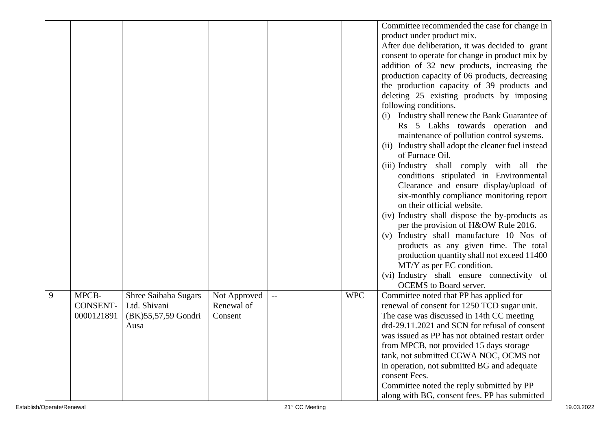|   |                 |                        |              |            | Committee recommended the case for change in          |
|---|-----------------|------------------------|--------------|------------|-------------------------------------------------------|
|   |                 |                        |              |            | product under product mix.                            |
|   |                 |                        |              |            | After due deliberation, it was decided to grant       |
|   |                 |                        |              |            | consent to operate for change in product mix by       |
|   |                 |                        |              |            | addition of 32 new products, increasing the           |
|   |                 |                        |              |            | production capacity of 06 products, decreasing        |
|   |                 |                        |              |            | the production capacity of 39 products and            |
|   |                 |                        |              |            | deleting 25 existing products by imposing             |
|   |                 |                        |              |            | following conditions.                                 |
|   |                 |                        |              |            | Industry shall renew the Bank Guarantee of<br>(i)     |
|   |                 |                        |              |            | Rs 5 Lakhs towards operation and                      |
|   |                 |                        |              |            | maintenance of pollution control systems.             |
|   |                 |                        |              |            | Industry shall adopt the cleaner fuel instead<br>(ii) |
|   |                 |                        |              |            | of Furnace Oil.                                       |
|   |                 |                        |              |            | (iii) Industry shall comply with all the              |
|   |                 |                        |              |            | conditions stipulated in Environmental                |
|   |                 |                        |              |            | Clearance and ensure display/upload of                |
|   |                 |                        |              |            | six-monthly compliance monitoring report              |
|   |                 |                        |              |            | on their official website.                            |
|   |                 |                        |              |            | (iv) Industry shall dispose the by-products as        |
|   |                 |                        |              |            | per the provision of H&OW Rule 2016.                  |
|   |                 |                        |              |            | (v) Industry shall manufacture 10 Nos of              |
|   |                 |                        |              |            | products as any given time. The total                 |
|   |                 |                        |              |            | production quantity shall not exceed 11400            |
|   |                 |                        |              |            | MT/Y as per EC condition.                             |
|   |                 |                        |              |            | (vi) Industry shall ensure connectivity of            |
|   |                 |                        |              |            | <b>OCEMS</b> to Board server.                         |
| 9 | MPCB-           | Shree Saibaba Sugars   | Not Approved | <b>WPC</b> | Committee noted that PP has applied for               |
|   | <b>CONSENT-</b> | Ltd. Shivani           | Renewal of   |            | renewal of consent for 1250 TCD sugar unit.           |
|   | 0000121891      | (BK) 55, 57, 59 Gondri | Consent      |            | The case was discussed in 14th CC meeting             |
|   |                 | Ausa                   |              |            | dtd-29.11.2021 and SCN for refusal of consent         |
|   |                 |                        |              |            | was issued as PP has not obtained restart order       |
|   |                 |                        |              |            | from MPCB, not provided 15 days storage               |
|   |                 |                        |              |            | tank, not submitted CGWA NOC, OCMS not                |
|   |                 |                        |              |            | in operation, not submitted BG and adequate           |
|   |                 |                        |              |            | consent Fees.                                         |
|   |                 |                        |              |            | Committee noted the reply submitted by PP             |
|   |                 |                        |              |            | along with BG, consent fees. PP has submitted         |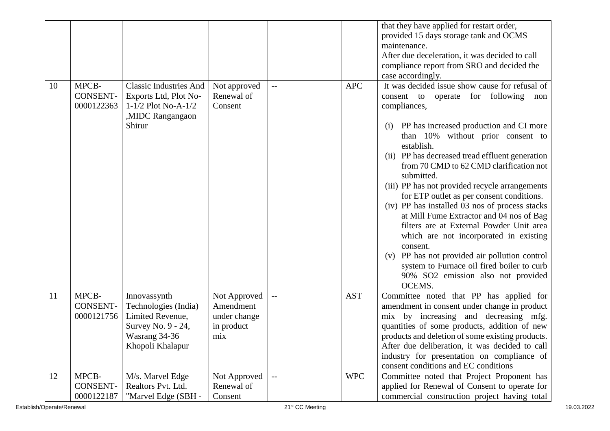|    |                                        |                                                                                                                     |                                                                |                                               |            | that they have applied for restart order,<br>provided 15 days storage tank and OCMS<br>maintenance.<br>After due deceleration, it was decided to call<br>compliance report from SRO and decided the<br>case accordingly.                                                                                                                                                                                                                                                                                                                                                                                                                                                                                                                                              |
|----|----------------------------------------|---------------------------------------------------------------------------------------------------------------------|----------------------------------------------------------------|-----------------------------------------------|------------|-----------------------------------------------------------------------------------------------------------------------------------------------------------------------------------------------------------------------------------------------------------------------------------------------------------------------------------------------------------------------------------------------------------------------------------------------------------------------------------------------------------------------------------------------------------------------------------------------------------------------------------------------------------------------------------------------------------------------------------------------------------------------|
| 10 | MPCB-<br>CONSENT-<br>0000122363        | <b>Classic Industries And</b><br>Exports Ltd, Plot No-<br>$1-1/2$ Plot No-A- $1/2$<br>,MIDC Rangangaon<br>Shirur    | Not approved<br>Renewal of<br>Consent                          | $-$                                           | <b>APC</b> | It was decided issue show cause for refusal of<br>consent to operate for following non<br>compliances,<br>PP has increased production and CI more<br>(i)<br>than 10% without prior consent to<br>establish.<br>(ii) PP has decreased tread effluent generation<br>from 70 CMD to 62 CMD clarification not<br>submitted.<br>(iii) PP has not provided recycle arrangements<br>for ETP outlet as per consent conditions.<br>(iv) PP has installed 03 nos of process stacks<br>at Mill Fume Extractor and 04 nos of Bag<br>filters are at External Powder Unit area<br>which are not incorporated in existing<br>consent.<br>(v) PP has not provided air pollution control<br>system to Furnace oil fired boiler to curb<br>90% SO2 emission also not provided<br>OCEMS. |
| 11 | MPCB-<br>CONSENT-<br>0000121756        | Innovassynth<br>Technologies (India)<br>Limited Revenue,<br>Survey No. 9 - 24,<br>Wasrang 34-36<br>Khopoli Khalapur | Not Approved<br>Amendment<br>under change<br>in product<br>mix | $\mathord{\hspace{1pt}\text{--}\hspace{1pt}}$ | <b>AST</b> | Committee noted that PP has applied for<br>amendment in consent under change in product<br>mix by increasing and decreasing mfg.<br>quantities of some products, addition of new<br>products and deletion of some existing products.<br>After due deliberation, it was decided to call<br>industry for presentation on compliance of<br>consent conditions and EC conditions                                                                                                                                                                                                                                                                                                                                                                                          |
| 12 | MPCB-<br><b>CONSENT-</b><br>0000122187 | M/s. Marvel Edge<br>Realtors Pvt. Ltd.<br>"Marvel Edge (SBH -                                                       | Not Approved<br>Renewal of<br>Consent                          | $- -$                                         | <b>WPC</b> | Committee noted that Project Proponent has<br>applied for Renewal of Consent to operate for<br>commercial construction project having total                                                                                                                                                                                                                                                                                                                                                                                                                                                                                                                                                                                                                           |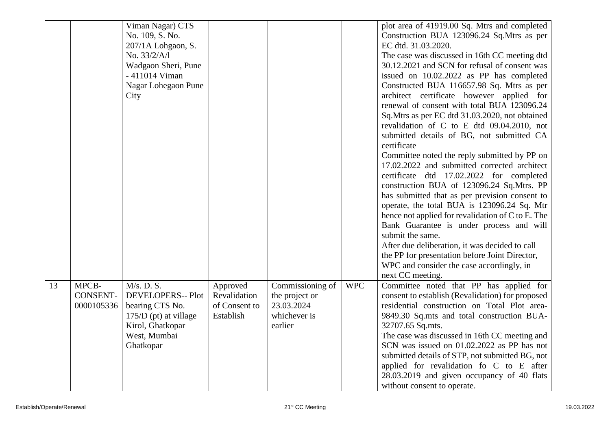|    |                 | Viman Nagar) CTS         |                          |                                    |            | plot area of 41919.00 Sq. Mtrs and completed                                                |
|----|-----------------|--------------------------|--------------------------|------------------------------------|------------|---------------------------------------------------------------------------------------------|
|    |                 | No. 109, S. No.          |                          |                                    |            | Construction BUA 123096.24 Sq.Mtrs as per                                                   |
|    |                 | $207/1A$ Lohgaon, S.     |                          |                                    |            | EC dtd. 31.03.2020.                                                                         |
|    |                 | No. 33/2/A/l             |                          |                                    |            | The case was discussed in 16th CC meeting dtd                                               |
|    |                 | Wadgaon Sheri, Pune      |                          |                                    |            | 30.12.2021 and SCN for refusal of consent was                                               |
|    |                 | - 411014 Viman           |                          |                                    |            | issued on 10.02.2022 as PP has completed                                                    |
|    |                 | Nagar Lohegaon Pune      |                          |                                    |            | Constructed BUA 116657.98 Sq. Mtrs as per                                                   |
|    |                 | City                     |                          |                                    |            | architect certificate however applied for                                                   |
|    |                 |                          |                          |                                    |            | renewal of consent with total BUA 123096.24                                                 |
|    |                 |                          |                          |                                    |            | Sq.Mtrs as per EC dtd 31.03.2020, not obtained                                              |
|    |                 |                          |                          |                                    |            | revalidation of C to E dtd 09.04.2010, not                                                  |
|    |                 |                          |                          |                                    |            | submitted details of BG, not submitted CA<br>certificate                                    |
|    |                 |                          |                          |                                    |            | Committee noted the reply submitted by PP on                                                |
|    |                 |                          |                          |                                    |            | 17.02.2022 and submitted corrected architect                                                |
|    |                 |                          |                          |                                    |            | certificate dtd 17.02.2022 for completed                                                    |
|    |                 |                          |                          |                                    |            | construction BUA of 123096.24 Sq.Mtrs. PP                                                   |
|    |                 |                          |                          |                                    |            | has submitted that as per prevision consent to                                              |
|    |                 |                          |                          |                                    |            | operate, the total BUA is 123096.24 Sq. Mtr                                                 |
|    |                 |                          |                          |                                    |            | hence not applied for revalidation of C to E. The                                           |
|    |                 |                          |                          |                                    |            | Bank Guarantee is under process and will                                                    |
|    |                 |                          |                          |                                    |            | submit the same.                                                                            |
|    |                 |                          |                          |                                    |            | After due deliberation, it was decided to call                                              |
|    |                 |                          |                          |                                    |            | the PP for presentation before Joint Director,                                              |
|    |                 |                          |                          |                                    |            | WPC and consider the case accordingly, in                                                   |
| 13 | MPCB-           | M/s. D. S.               |                          |                                    | <b>WPC</b> | next CC meeting.                                                                            |
|    | <b>CONSENT-</b> | <b>DEVELOPERS-- Plot</b> | Approved<br>Revalidation | Commissioning of<br>the project or |            | Committee noted that PP has applied for<br>consent to establish (Revalidation) for proposed |
|    | 0000105336      | bearing CTS No.          | of Consent to            | 23.03.2024                         |            | residential construction on Total Plot area-                                                |
|    |                 | $175/D$ (pt) at village  | Establish                | whichever is                       |            | 9849.30 Sq.mts and total construction BUA-                                                  |
|    |                 | Kirol, Ghatkopar         |                          | earlier                            |            | 32707.65 Sq.mts.                                                                            |
|    |                 | West, Mumbai             |                          |                                    |            | The case was discussed in 16th CC meeting and                                               |
|    |                 | Ghatkopar                |                          |                                    |            | SCN was issued on 01.02.2022 as PP has not                                                  |
|    |                 |                          |                          |                                    |            | submitted details of STP, not submitted BG, not                                             |
|    |                 |                          |                          |                                    |            | applied for revalidation fo C to E after                                                    |
|    |                 |                          |                          |                                    |            | 28.03.2019 and given occupancy of 40 flats                                                  |
|    |                 |                          |                          |                                    |            | without consent to operate.                                                                 |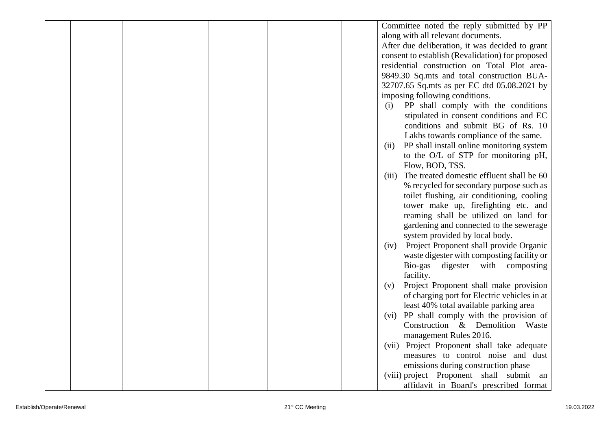|  |  | Committee noted the reply submitted by PP          |
|--|--|----------------------------------------------------|
|  |  | along with all relevant documents.                 |
|  |  | After due deliberation, it was decided to grant    |
|  |  | consent to establish (Revalidation) for proposed   |
|  |  | residential construction on Total Plot area-       |
|  |  | 9849.30 Sq.mts and total construction BUA-         |
|  |  | 32707.65 Sq.mts as per EC dtd 05.08.2021 by        |
|  |  | imposing following conditions.                     |
|  |  | PP shall comply with the conditions<br>(i)         |
|  |  | stipulated in consent conditions and EC            |
|  |  | conditions and submit BG of Rs. 10                 |
|  |  | Lakhs towards compliance of the same.              |
|  |  | PP shall install online monitoring system<br>(ii)  |
|  |  | to the O/L of STP for monitoring pH,               |
|  |  | Flow, BOD, TSS.                                    |
|  |  | The treated domestic effluent shall be 60<br>(iii) |
|  |  | % recycled for secondary purpose such as           |
|  |  | toilet flushing, air conditioning, cooling         |
|  |  | tower make up, firefighting etc. and               |
|  |  | reaming shall be utilized on land for              |
|  |  | gardening and connected to the sewerage            |
|  |  | system provided by local body.                     |
|  |  | Project Proponent shall provide Organic<br>(iv)    |
|  |  | waste digester with composting facility or         |
|  |  | digester with composting<br>Bio-gas                |
|  |  | facility.                                          |
|  |  | Project Proponent shall make provision<br>(v)      |
|  |  | of charging port for Electric vehicles in at       |
|  |  | least 40% total available parking area             |
|  |  | (vi) PP shall comply with the provision of         |
|  |  | Construction & Demolition<br>Waste                 |
|  |  | management Rules 2016.                             |
|  |  | (vii) Project Proponent shall take adequate        |
|  |  | measures to control noise and dust                 |
|  |  | emissions during construction phase                |
|  |  | (viii) project Proponent shall submit an           |
|  |  | affidavit in Board's prescribed format             |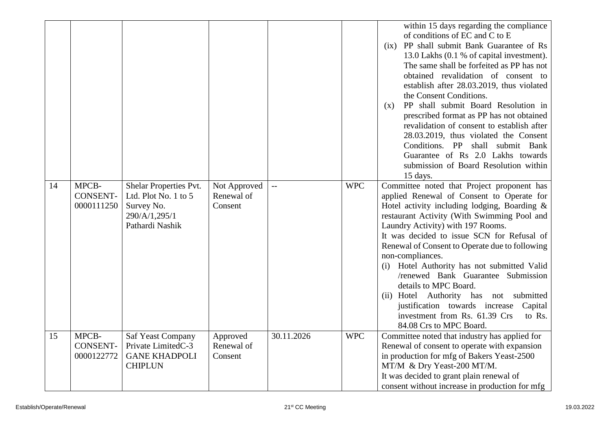|    |                                        |                                                                                                      |                                       |              |            | within 15 days regarding the compliance<br>of conditions of EC and C to E<br>PP shall submit Bank Guarantee of Rs<br>(ix)<br>13.0 Lakhs (0.1 % of capital investment).<br>The same shall be forfeited as PP has not<br>obtained revalidation of consent to<br>establish after 28.03.2019, thus violated<br>the Consent Conditions.<br>PP shall submit Board Resolution in<br>(x)<br>prescribed format as PP has not obtained<br>revalidation of consent to establish after<br>28.03.2019, thus violated the Consent<br>Conditions. PP shall submit Bank<br>Guarantee of Rs 2.0 Lakhs towards<br>submission of Board Resolution within<br>15 days. |
|----|----------------------------------------|------------------------------------------------------------------------------------------------------|---------------------------------------|--------------|------------|---------------------------------------------------------------------------------------------------------------------------------------------------------------------------------------------------------------------------------------------------------------------------------------------------------------------------------------------------------------------------------------------------------------------------------------------------------------------------------------------------------------------------------------------------------------------------------------------------------------------------------------------------|
| 14 | MPCB-<br><b>CONSENT-</b><br>0000111250 | Shelar Properties Pvt.<br>Ltd. Plot No. $1$ to $5$<br>Survey No.<br>290/A/1,295/1<br>Pathardi Nashik | Not Approved<br>Renewal of<br>Consent | $\mathbf{L}$ | <b>WPC</b> | Committee noted that Project proponent has<br>applied Renewal of Consent to Operate for<br>Hotel activity including lodging, Boarding &<br>restaurant Activity (With Swimming Pool and<br>Laundry Activity) with 197 Rooms.<br>It was decided to issue SCN for Refusal of<br>Renewal of Consent to Operate due to following<br>non-compliances.<br>(i) Hotel Authority has not submitted Valid<br>/renewed Bank Guarantee Submission<br>details to MPC Board.<br>(ii) Hotel Authority has not submitted<br>justification towards increase<br>Capital<br>investment from Rs. 61.39 Crs<br>to Rs.<br>84.08 Crs to MPC Board.                        |
| 15 | MPCB-<br><b>CONSENT-</b><br>0000122772 | <b>Saf Yeast Company</b><br>Private LimitedC-3<br><b>GANE KHADPOLI</b><br><b>CHIPLUN</b>             | Approved<br>Renewal of<br>Consent     | 30.11.2026   | <b>WPC</b> | Committee noted that industry has applied for<br>Renewal of consent to operate with expansion<br>in production for mfg of Bakers Yeast-2500<br>MT/M & Dry Yeast-200 MT/M.<br>It was decided to grant plain renewal of<br>consent without increase in production for mfg                                                                                                                                                                                                                                                                                                                                                                           |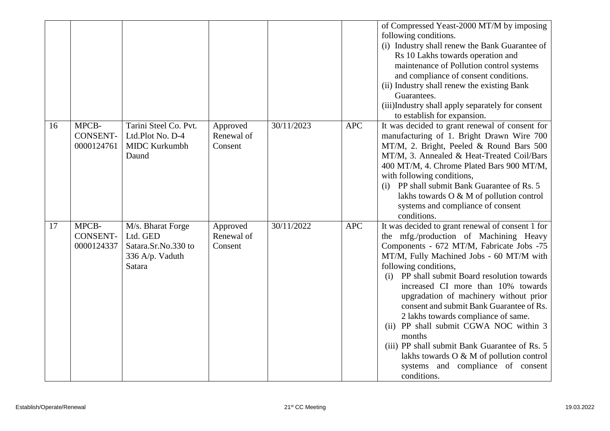|    |                                        |                                                                                   |                                   |            |            | of Compressed Yeast-2000 MT/M by imposing<br>following conditions.<br>(i) Industry shall renew the Bank Guarantee of<br>Rs 10 Lakhs towards operation and<br>maintenance of Pollution control systems<br>and compliance of consent conditions.<br>(ii) Industry shall renew the existing Bank<br>Guarantees.<br>(iii)Industry shall apply separately for consent<br>to establish for expansion.                                                                                                                                                                                                                                         |
|----|----------------------------------------|-----------------------------------------------------------------------------------|-----------------------------------|------------|------------|-----------------------------------------------------------------------------------------------------------------------------------------------------------------------------------------------------------------------------------------------------------------------------------------------------------------------------------------------------------------------------------------------------------------------------------------------------------------------------------------------------------------------------------------------------------------------------------------------------------------------------------------|
| 16 | MPCB-<br><b>CONSENT-</b><br>0000124761 | Tarini Steel Co. Pvt.<br>Ltd.Plot No. D-4<br><b>MIDC Kurkumbh</b><br>Daund        | Approved<br>Renewal of<br>Consent | 30/11/2023 | <b>APC</b> | It was decided to grant renewal of consent for<br>manufacturing of 1. Bright Drawn Wire 700<br>MT/M, 2. Bright, Peeled & Round Bars 500<br>MT/M, 3. Annealed & Heat-Treated Coil/Bars<br>400 MT/M, 4. Chrome Plated Bars 900 MT/M,<br>with following conditions,<br>PP shall submit Bank Guarantee of Rs. 5<br>(i)<br>lakhs towards O & M of pollution control<br>systems and compliance of consent<br>conditions.                                                                                                                                                                                                                      |
| 17 | MPCB-<br><b>CONSENT-</b><br>0000124337 | M/s. Bharat Forge<br>Ltd. GED<br>Satara.Sr.No.330 to<br>336 A/p. Vaduth<br>Satara | Approved<br>Renewal of<br>Consent | 30/11/2022 | <b>APC</b> | It was decided to grant renewal of consent 1 for<br>the mfg./production of Machining Heavy<br>Components - 672 MT/M, Fabricate Jobs -75<br>MT/M, Fully Machined Jobs - 60 MT/M with<br>following conditions,<br>PP shall submit Board resolution towards<br>(i)<br>increased CI more than 10% towards<br>upgradation of machinery without prior<br>consent and submit Bank Guarantee of Rs.<br>2 lakhs towards compliance of same.<br>(ii) PP shall submit CGWA NOC within 3<br>months<br>(iii) PP shall submit Bank Guarantee of Rs. 5<br>lakhs towards O & M of pollution control<br>systems and compliance of consent<br>conditions. |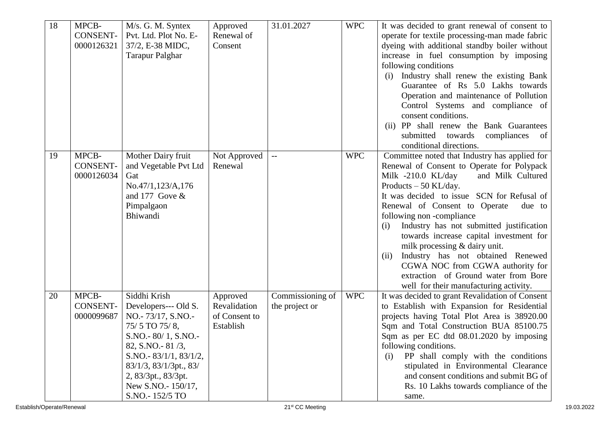| 18<br>MPCB-<br><b>CONSENT-</b><br>0000126321 | M/s. G. M. Syntex<br>Pvt. Ltd. Plot No. E-<br>37/2, E-38 MIDC,<br><b>Tarapur Palghar</b>                                                                                                                                                    | Approved<br>Renewal of<br>Consent                      | 31.01.2027                         | <b>WPC</b> | It was decided to grant renewal of consent to<br>operate for textile processing-man made fabric<br>dyeing with additional standby boiler without<br>increase in fuel consumption by imposing<br>following conditions<br>Industry shall renew the existing Bank<br>Guarantee of Rs 5.0 Lakhs towards                                                                                                                                                                                                                                                                                     |
|----------------------------------------------|---------------------------------------------------------------------------------------------------------------------------------------------------------------------------------------------------------------------------------------------|--------------------------------------------------------|------------------------------------|------------|-----------------------------------------------------------------------------------------------------------------------------------------------------------------------------------------------------------------------------------------------------------------------------------------------------------------------------------------------------------------------------------------------------------------------------------------------------------------------------------------------------------------------------------------------------------------------------------------|
|                                              |                                                                                                                                                                                                                                             |                                                        |                                    |            | Operation and maintenance of Pollution<br>Control Systems and compliance of<br>consent conditions.<br>(ii) PP shall renew the Bank Guarantees<br>submitted towards<br>compliances<br>of<br>conditional directions.                                                                                                                                                                                                                                                                                                                                                                      |
| MPCB-<br>19<br>CONSENT-<br>0000126034        | Mother Dairy fruit<br>and Vegetable Pvt Ltd<br>Gat<br>No.47/1,123/A,176<br>and 177 Gove $\&$<br>Pimpalgaon<br>Bhiwandi                                                                                                                      | Not Approved<br>Renewal                                | $-$                                | <b>WPC</b> | Committee noted that Industry has applied for<br>Renewal of Consent to Operate for Polypack<br>and Milk Cultured<br>Milk -210.0 KL/day<br>Products $-50$ KL/day.<br>It was decided to issue SCN for Refusal of<br>Renewal of Consent to Operate<br>due to<br>following non-compliance<br>Industry has not submitted justification<br>(i)<br>towards increase capital investment for<br>milk processing & dairy unit.<br>Industry has not obtained Renewed<br>(ii)<br>CGWA NOC from CGWA authority for<br>extraction of Ground water from Bore<br>well for their manufacturing activity. |
| MPCB-<br>20<br><b>CONSENT-</b><br>0000099687 | Siddhi Krish<br>Developers--- Old S.<br>NO.-73/17, S.NO.-<br>75/5 TO 75/8,<br>S.NO.-80/1, S.NO.-<br>82, S.NO. - 81/3,<br>S.NO.- $83/1/1, 83/1/2,$<br>83/1/3, 83/1/3pt., 83/<br>2, 83/3pt., 83/3pt.<br>New S.NO.- 150/17,<br>S.NO.- 152/5 TO | Approved<br>Revalidation<br>of Consent to<br>Establish | Commissioning of<br>the project or | <b>WPC</b> | It was decided to grant Revalidation of Consent<br>to Establish with Expansion for Residential<br>projects having Total Plot Area is 38920.00<br>Sqm and Total Construction BUA 85100.75<br>Sqm as per EC dtd 08.01.2020 by imposing<br>following conditions.<br>PP shall comply with the conditions<br>(i)<br>stipulated in Environmental Clearance<br>and consent conditions and submit BG of<br>Rs. 10 Lakhs towards compliance of the<br>same.                                                                                                                                      |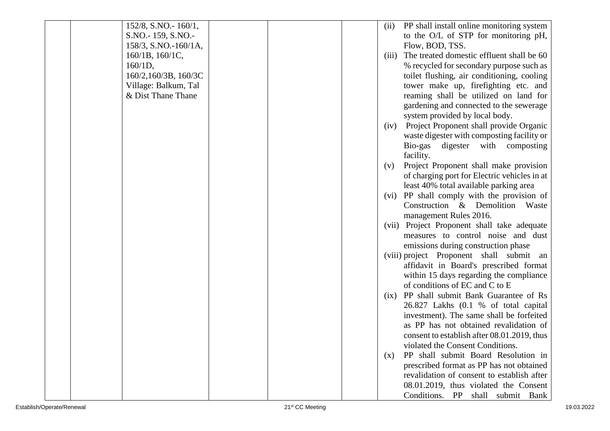|                 | 152/8, S.NO. - 160/1, | (ii)  | PP shall install online monitoring system    |
|-----------------|-----------------------|-------|----------------------------------------------|
|                 | S.NO.-159, S.NO.-     |       | to the O/L of STP for monitoring pH,         |
|                 | 158/3, S.NO.-160/1A,  |       | Flow, BOD, TSS.                              |
| 160/1B, 160/1C, |                       | (iii) | The treated domestic effluent shall be 60    |
| $160/1D$ ,      |                       |       | % recycled for secondary purpose such as     |
|                 | 160/2,160/3B, 160/3C  |       | toilet flushing, air conditioning, cooling   |
|                 | Village: Balkum, Tal  |       | tower make up, firefighting etc. and         |
|                 | & Dist Thane Thane    |       | reaming shall be utilized on land for        |
|                 |                       |       | gardening and connected to the sewerage      |
|                 |                       |       | system provided by local body.               |
|                 |                       | (iv)  | Project Proponent shall provide Organic      |
|                 |                       |       | waste digester with composting facility or   |
|                 |                       |       | Bio-gas digester with composting             |
|                 |                       |       | facility.                                    |
|                 |                       | (v)   | Project Proponent shall make provision       |
|                 |                       |       | of charging port for Electric vehicles in at |
|                 |                       |       | least 40% total available parking area       |
|                 |                       | (vi)  | PP shall comply with the provision of        |
|                 |                       |       | Construction & Demolition Waste              |
|                 |                       |       | management Rules 2016.                       |
|                 |                       |       | (vii) Project Proponent shall take adequate  |
|                 |                       |       | measures to control noise and dust           |
|                 |                       |       | emissions during construction phase          |
|                 |                       |       | (viii) project Proponent shall submit an     |
|                 |                       |       | affidavit in Board's prescribed format       |
|                 |                       |       | within 15 days regarding the compliance      |
|                 |                       |       | of conditions of EC and C to E               |
|                 |                       | (ix)  | PP shall submit Bank Guarantee of Rs         |
|                 |                       |       | 26.827 Lakhs (0.1 % of total capital         |
|                 |                       |       | investment). The same shall be forfeited     |
|                 |                       |       | as PP has not obtained revalidation of       |
|                 |                       |       | consent to establish after 08.01.2019, thus  |
|                 |                       |       | violated the Consent Conditions.             |
|                 |                       | (X)   | PP shall submit Board Resolution in          |
|                 |                       |       | prescribed format as PP has not obtained     |
|                 |                       |       | revalidation of consent to establish after   |
|                 |                       |       | 08.01.2019, thus violated the Consent        |
|                 |                       |       | Conditions. PP shall submit Bank             |